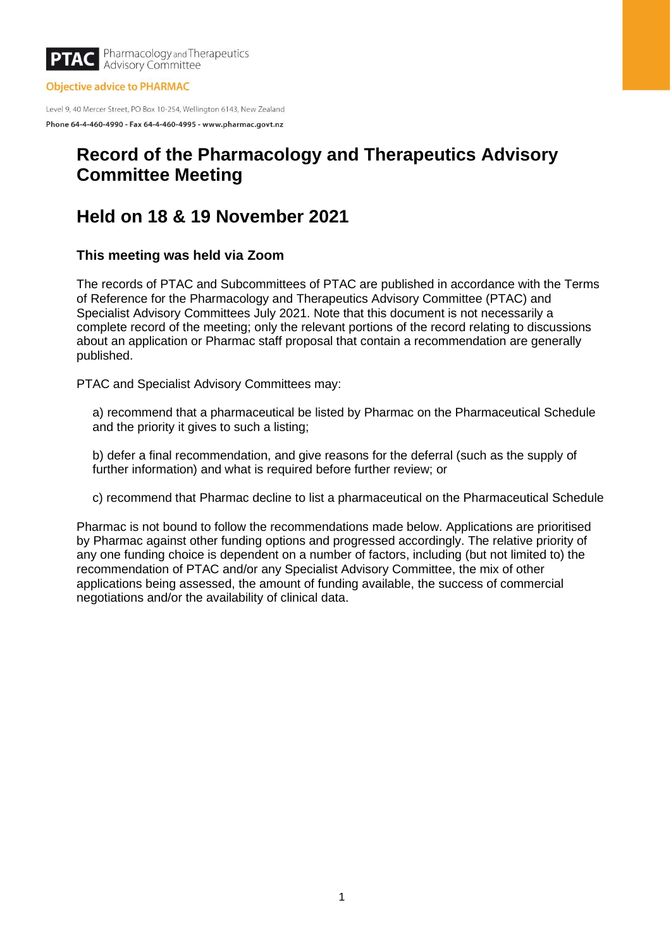

**Objective advice to PHARMAC** 

Level 9, 40 Mercer Street, PO Box 10-254, Wellington 6143, New Zealand Phone 64-4-460-4990 - Fax 64-4-460-4995 - www.pharmac.govt.nz

# **Record of the Pharmacology and Therapeutics Advisory Committee Meeting**

# **Held on 18 & 19 November 2021**

# **This meeting was held via Zoom**

The records of PTAC and Subcommittees of PTAC are published in accordance with the Terms of Reference for the Pharmacology and Therapeutics Advisory Committee (PTAC) and Specialist Advisory Committees July 2021. Note that this document is not necessarily a complete record of the meeting; only the relevant portions of the record relating to discussions about an application or Pharmac staff proposal that contain a recommendation are generally published.

PTAC and Specialist Advisory Committees may:

a) recommend that a pharmaceutical be listed by Pharmac on the Pharmaceutical Schedule and the priority it gives to such a listing;

b) defer a final recommendation, and give reasons for the deferral (such as the supply of further information) and what is required before further review; or

c) recommend that Pharmac decline to list a pharmaceutical on the Pharmaceutical Schedule

Pharmac is not bound to follow the recommendations made below. Applications are prioritised by Pharmac against other funding options and progressed accordingly. The relative priority of any one funding choice is dependent on a number of factors, including (but not limited to) the recommendation of PTAC and/or any Specialist Advisory Committee, the mix of other applications being assessed, the amount of funding available, the success of commercial negotiations and/or the availability of clinical data.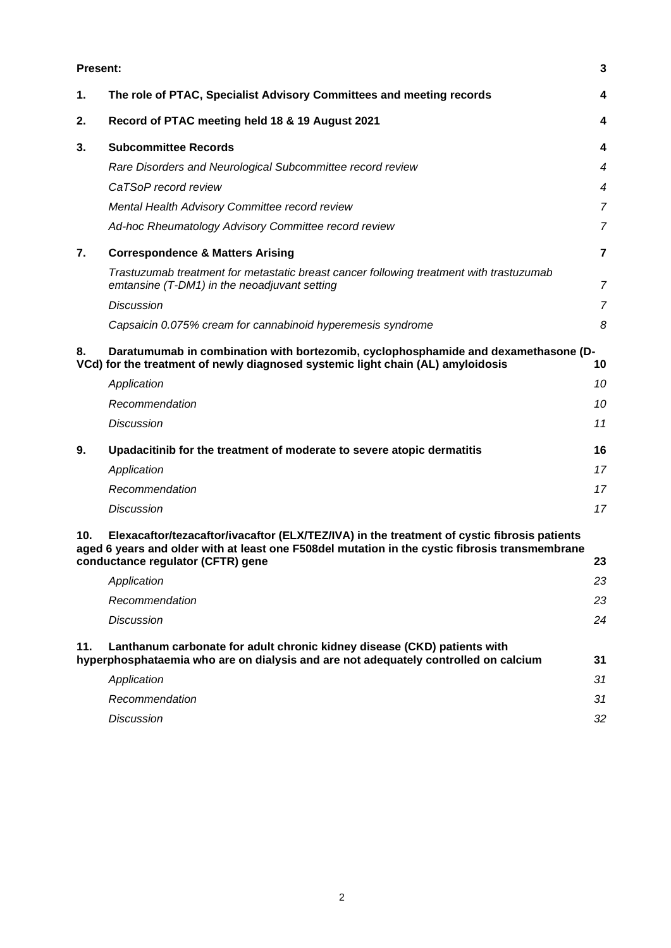| <b>Present:</b> |                                                                                                                                                                                                                                    | 3              |
|-----------------|------------------------------------------------------------------------------------------------------------------------------------------------------------------------------------------------------------------------------------|----------------|
| 1.              | The role of PTAC, Specialist Advisory Committees and meeting records                                                                                                                                                               | 4              |
| 2.              | Record of PTAC meeting held 18 & 19 August 2021                                                                                                                                                                                    | 4              |
| 3.              | <b>Subcommittee Records</b>                                                                                                                                                                                                        | 4              |
|                 | Rare Disorders and Neurological Subcommittee record review                                                                                                                                                                         | $\overline{4}$ |
|                 | CaTSoP record review                                                                                                                                                                                                               | 4              |
|                 | Mental Health Advisory Committee record review                                                                                                                                                                                     | $\overline{7}$ |
|                 | Ad-hoc Rheumatology Advisory Committee record review                                                                                                                                                                               | $\overline{7}$ |
| 7.              | <b>Correspondence &amp; Matters Arising</b>                                                                                                                                                                                        | $\overline{7}$ |
|                 | Trastuzumab treatment for metastatic breast cancer following treatment with trastuzumab<br>emtansine (T-DM1) in the neoadjuvant setting                                                                                            | $\overline{7}$ |
|                 | <b>Discussion</b>                                                                                                                                                                                                                  | $\overline{7}$ |
|                 | Capsaicin 0.075% cream for cannabinoid hyperemesis syndrome                                                                                                                                                                        | 8              |
| 8.              | Daratumumab in combination with bortezomib, cyclophosphamide and dexamethasone (D-<br>VCd) for the treatment of newly diagnosed systemic light chain (AL) amyloidosis                                                              | 10             |
|                 | Application                                                                                                                                                                                                                        | 10             |
|                 | Recommendation                                                                                                                                                                                                                     | 10             |
|                 | <b>Discussion</b>                                                                                                                                                                                                                  | 11             |
| 9.              | Upadacitinib for the treatment of moderate to severe atopic dermatitis                                                                                                                                                             | 16             |
|                 | Application                                                                                                                                                                                                                        | 17             |
|                 | Recommendation                                                                                                                                                                                                                     | 17             |
|                 | <b>Discussion</b>                                                                                                                                                                                                                  | 17             |
| 10.             | Elexacaftor/tezacaftor/ivacaftor (ELX/TEZ/IVA) in the treatment of cystic fibrosis patients<br>aged 6 years and older with at least one F508del mutation in the cystic fibrosis transmembrane<br>conductance regulator (CFTR) gene | 23             |
|                 | Application                                                                                                                                                                                                                        | 23             |
|                 | Recommendation                                                                                                                                                                                                                     | 23             |
|                 | <b>Discussion</b>                                                                                                                                                                                                                  | 24             |
| 11.             | Lanthanum carbonate for adult chronic kidney disease (CKD) patients with<br>hyperphosphataemia who are on dialysis and are not adequately controlled on calcium                                                                    | 31             |
|                 | Application                                                                                                                                                                                                                        | 31             |
|                 | Recommendation                                                                                                                                                                                                                     | 31             |
|                 | <b>Discussion</b>                                                                                                                                                                                                                  | 32             |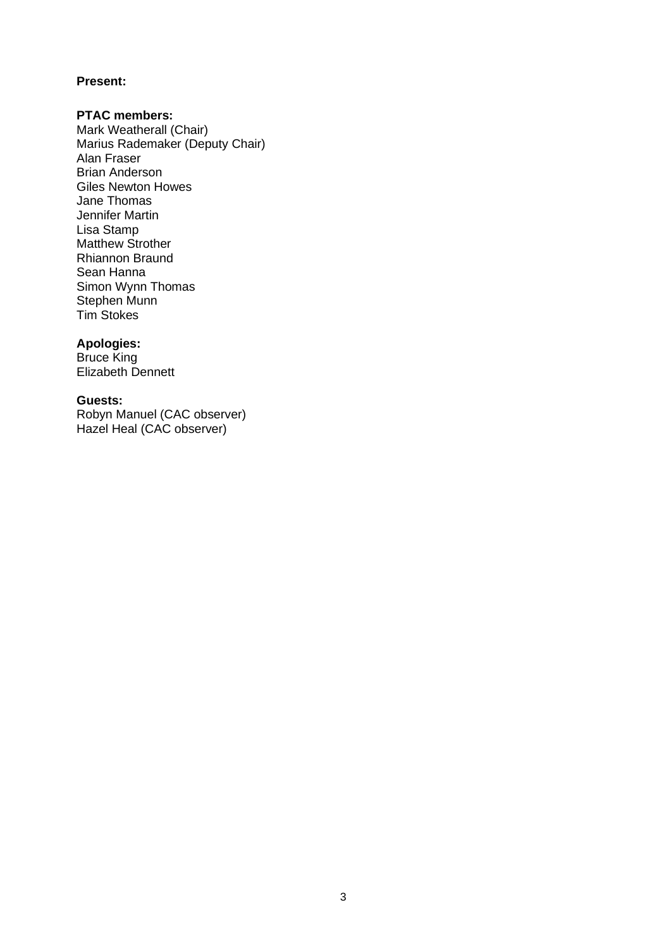# <span id="page-2-0"></span>**Present:**

# **PTAC members:**

Mark Weatherall (Chair) Marius Rademaker (Deputy Chair) Alan Fraser Brian Anderson Giles Newton Howes Jane Thomas Jennifer Martin Lisa Stamp Matthew Strother Rhiannon Braund Sean Hanna Simon Wynn Thomas Stephen Munn Tim Stokes

### **Apologies:**

Bruce King Elizabeth Dennett

# **Guests:**

Robyn Manuel (CAC observer) Hazel Heal (CAC observer)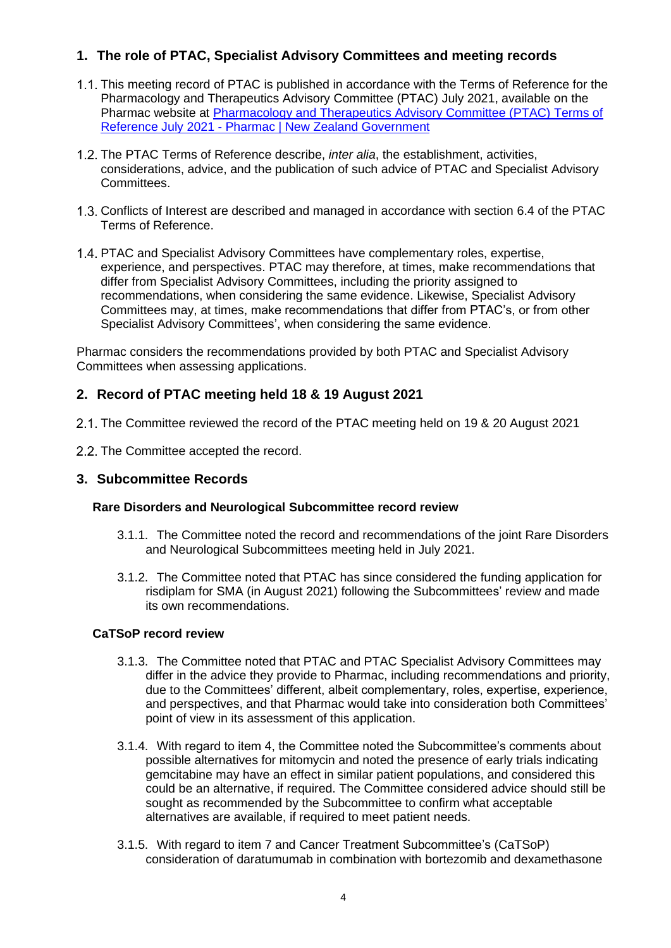# <span id="page-3-0"></span>**1. The role of PTAC, Specialist Advisory Committees and meeting records**

- This meeting record of PTAC is published in accordance with the Terms of Reference for the Pharmacology and Therapeutics Advisory Committee (PTAC) July 2021, available on the Pharmac website at [Pharmacology and Therapeutics Advisory Committee \(PTAC\) Terms of](https://pharmac.govt.nz/about/expert-advice/pharmacology-and-therapeutics-advisory-committee-ptac/ptac-terms-of-reference-july-2021/)  Reference July 2021 - [Pharmac | New Zealand Government](https://pharmac.govt.nz/about/expert-advice/pharmacology-and-therapeutics-advisory-committee-ptac/ptac-terms-of-reference-july-2021/)
- The PTAC Terms of Reference describe, *inter alia*, the establishment, activities, considerations, advice, and the publication of such advice of PTAC and Specialist Advisory Committees.
- 1.3. Conflicts of Interest are described and managed in accordance with section 6.4 of the PTAC Terms of Reference.
- PTAC and Specialist Advisory Committees have complementary roles, expertise, experience, and perspectives. PTAC may therefore, at times, make recommendations that differ from Specialist Advisory Committees, including the priority assigned to recommendations, when considering the same evidence. Likewise, Specialist Advisory Committees may, at times, make recommendations that differ from PTAC's, or from other Specialist Advisory Committees', when considering the same evidence.

Pharmac considers the recommendations provided by both PTAC and Specialist Advisory Committees when assessing applications.

# <span id="page-3-1"></span>**2. Record of PTAC meeting held 18 & 19 August 2021**

- 2.1. The Committee reviewed the record of the PTAC meeting held on 19 & 20 August 2021
- 2.2. The Committee accepted the record.

# <span id="page-3-2"></span>**3. Subcommittee Records**

# <span id="page-3-3"></span>**Rare Disorders and Neurological Subcommittee record review**

- 3.1.1. The Committee noted the record and recommendations of the joint Rare Disorders and Neurological Subcommittees meeting held in July 2021.
- 3.1.2. The Committee noted that PTAC has since considered the funding application for risdiplam for SMA (in August 2021) following the Subcommittees' review and made its own recommendations.

# <span id="page-3-4"></span>**CaTSoP record review**

- 3.1.3. The Committee noted that PTAC and PTAC Specialist Advisory Committees may differ in the advice they provide to Pharmac, including recommendations and priority, due to the Committees' different, albeit complementary, roles, expertise, experience, and perspectives, and that Pharmac would take into consideration both Committees' point of view in its assessment of this application.
- 3.1.4. With regard to item 4, the Committee noted the Subcommittee's comments about possible alternatives for mitomycin and noted the presence of early trials indicating gemcitabine may have an effect in similar patient populations, and considered this could be an alternative, if required. The Committee considered advice should still be sought as recommended by the Subcommittee to confirm what acceptable alternatives are available, if required to meet patient needs.
- 3.1.5. With regard to item 7 and Cancer Treatment Subcommittee's (CaTSoP) consideration of daratumumab in combination with bortezomib and dexamethasone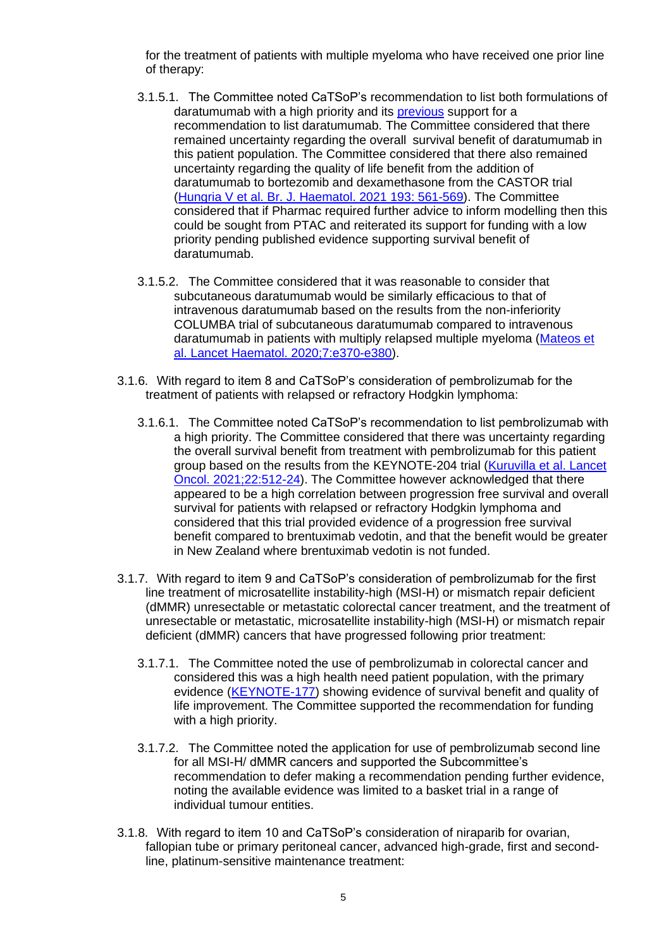for the treatment of patients with multiple myeloma who have received one prior line of therapy:

- 3.1.5.1. The Committee noted CaTSoP's recommendation to list both formulations of daratumumab with a high priority and its [previous](https://pharmac.govt.nz/assets/ptac-record-2020-02.pdf) support for a recommendation to list daratumumab. The Committee considered that there remained uncertainty regarding the overall survival benefit of daratumumab in this patient population. The Committee considered that there also remained uncertainty regarding the quality of life benefit from the addition of daratumumab to bortezomib and dexamethasone from the CASTOR trial (Hungria V [et al. Br. J. Haematol.](https://onlinelibrary.wiley.com/doi/10.1111/bjh.17321) 2021 193: 561-569). The Committee considered that if Pharmac required further advice to inform modelling then this could be sought from PTAC and reiterated its support for funding with a low priority pending published evidence supporting survival benefit of daratumumab.
- 3.1.5.2. The Committee considered that it was reasonable to consider that subcutaneous daratumumab would be similarly efficacious to that of intravenous daratumumab based on the results from the non-inferiority COLUMBA trial of subcutaneous daratumumab compared to intravenous daratumumab in patients with multiply relapsed multiple myeloma [\(Mateos et](https://linkinghub.elsevier.com/retrieve/pii/S2352-3026(20)30070-3)  [al. Lancet Haematol. 2020;7:e370-e380\)](https://linkinghub.elsevier.com/retrieve/pii/S2352-3026(20)30070-3).
- 3.1.6. With regard to item 8 and CaTSoP's consideration of pembrolizumab for the treatment of patients with relapsed or refractory Hodgkin lymphoma:
	- 3.1.6.1. The Committee noted CaTSoP's recommendation to list pembrolizumab with a high priority. The Committee considered that there was uncertainty regarding the overall survival benefit from treatment with pembrolizumab for this patient group based on the results from the KEYNOTE-204 trial [\(Kuruvilla et al. Lancet](https://pubmed.ncbi.nlm.nih.gov/33721562/)  [Oncol. 2021;22:512-24\)](https://pubmed.ncbi.nlm.nih.gov/33721562/). The Committee however acknowledged that there appeared to be a high correlation between progression free survival and overall survival for patients with relapsed or refractory Hodgkin lymphoma and considered that this trial provided evidence of a progression free survival benefit compared to brentuximab vedotin, and that the benefit would be greater in New Zealand where brentuximab vedotin is not funded.
- 3.1.7. With regard to item 9 and CaTSoP's consideration of pembrolizumab for the first line treatment of microsatellite instability-high (MSI-H) or mismatch repair deficient (dMMR) unresectable or metastatic colorectal cancer treatment, and the treatment of unresectable or metastatic, microsatellite instability-high (MSI-H) or mismatch repair deficient (dMMR) cancers that have progressed following prior treatment:
	- 3.1.7.1. The Committee noted the use of pembrolizumab in colorectal cancer and considered this was a high health need patient population, with the primary evidence [\(KEYNOTE-177\)](https://pubmed.ncbi.nlm.nih.gov/33264544/) showing evidence of survival benefit and quality of life improvement. The Committee supported the recommendation for funding with a high priority.
	- 3.1.7.2. The Committee noted the application for use of pembrolizumab second line for all MSI-H/ dMMR cancers and supported the Subcommittee's recommendation to defer making a recommendation pending further evidence, noting the available evidence was limited to a basket trial in a range of individual tumour entities.
- 3.1.8. With regard to item 10 and CaTSoP's consideration of niraparib for ovarian, fallopian tube or primary peritoneal cancer, advanced high-grade, first and secondline, platinum-sensitive maintenance treatment: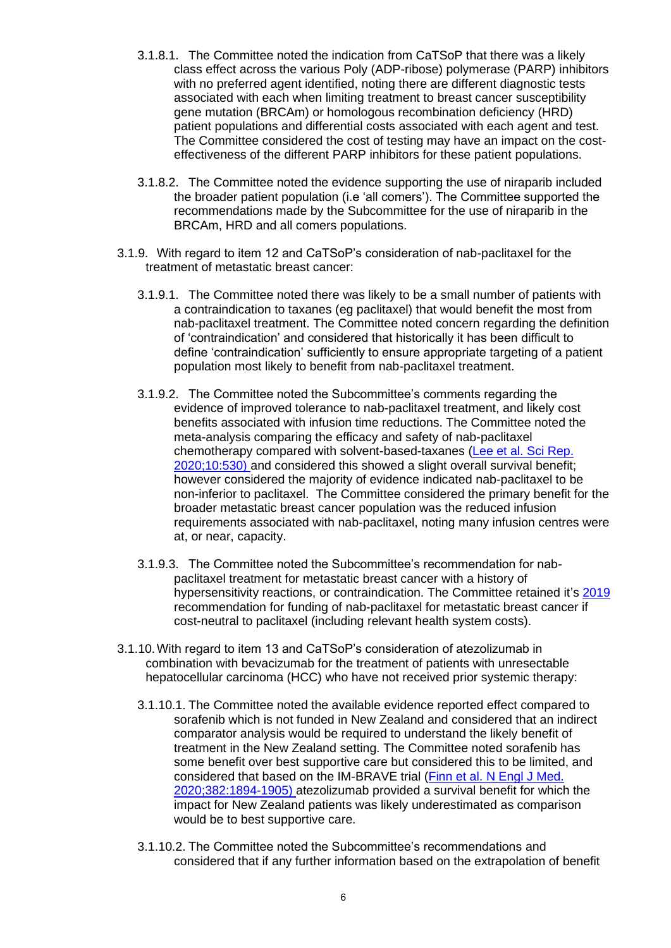- 3.1.8.1. The Committee noted the indication from CaTSoP that there was a likely class effect across the various Poly (ADP-ribose) polymerase (PARP) inhibitors with no preferred agent identified, noting there are different diagnostic tests associated with each when limiting treatment to breast cancer susceptibility gene mutation (BRCAm) or homologous recombination deficiency (HRD) patient populations and differential costs associated with each agent and test. The Committee considered the cost of testing may have an impact on the costeffectiveness of the different PARP inhibitors for these patient populations.
- 3.1.8.2. The Committee noted the evidence supporting the use of niraparib included the broader patient population (i.e 'all comers'). The Committee supported the recommendations made by the Subcommittee for the use of niraparib in the BRCAm, HRD and all comers populations.
- 3.1.9. With regard to item 12 and CaTSoP's consideration of nab-paclitaxel for the treatment of metastatic breast cancer:
	- 3.1.9.1. The Committee noted there was likely to be a small number of patients with a contraindication to taxanes (eg paclitaxel) that would benefit the most from nab-paclitaxel treatment. The Committee noted concern regarding the definition of 'contraindication' and considered that historically it has been difficult to define 'contraindication' sufficiently to ensure appropriate targeting of a patient population most likely to benefit from nab-paclitaxel treatment.
	- 3.1.9.2. The Committee noted the Subcommittee's comments regarding the evidence of improved tolerance to nab-paclitaxel treatment, and likely cost benefits associated with infusion time reductions. The Committee noted the meta-analysis comparing the efficacy and safety of nab-paclitaxel chemotherapy compared with solvent-based-taxanes [\(Lee et al. Sci Rep.](https://www.ncbi.nlm.nih.gov/pmc/articles/PMC6969039/)  [2020;10:530\)](https://www.ncbi.nlm.nih.gov/pmc/articles/PMC6969039/) and considered this showed a slight overall survival benefit; however considered the majority of evidence indicated nab-paclitaxel to be non-inferior to paclitaxel. The Committee considered the primary benefit for the broader metastatic breast cancer population was the reduced infusion requirements associated with nab-paclitaxel, noting many infusion centres were at, or near, capacity.
	- 3.1.9.3. The Committee noted the Subcommittee's recommendation for nabpaclitaxel treatment for metastatic breast cancer with a history of hypersensitivity reactions, or contraindication. The Committee retained it's [2019](https://pharmac.govt.nz/assets/ptac-minutes-2019-05.pdf) recommendation for funding of nab-paclitaxel for metastatic breast cancer if cost-neutral to paclitaxel (including relevant health system costs).
- 3.1.10.With regard to item 13 and CaTSoP's consideration of atezolizumab in combination with bevacizumab for the treatment of patients with unresectable hepatocellular carcinoma (HCC) who have not received prior systemic therapy:
	- 3.1.10.1. The Committee noted the available evidence reported effect compared to sorafenib which is not funded in New Zealand and considered that an indirect comparator analysis would be required to understand the likely benefit of treatment in the New Zealand setting. The Committee noted sorafenib has some benefit over best supportive care but considered this to be limited, and considered that based on the IM-BRAVE trial [\(Finn et al. N Engl J Med.](https://pubmed.ncbi.nlm.nih.gov/32402160/)  [2020;382:1894-1905\)](https://pubmed.ncbi.nlm.nih.gov/32402160/) atezolizumab provided a survival benefit for which the impact for New Zealand patients was likely underestimated as comparison would be to best supportive care.
	- 3.1.10.2. The Committee noted the Subcommittee's recommendations and considered that if any further information based on the extrapolation of benefit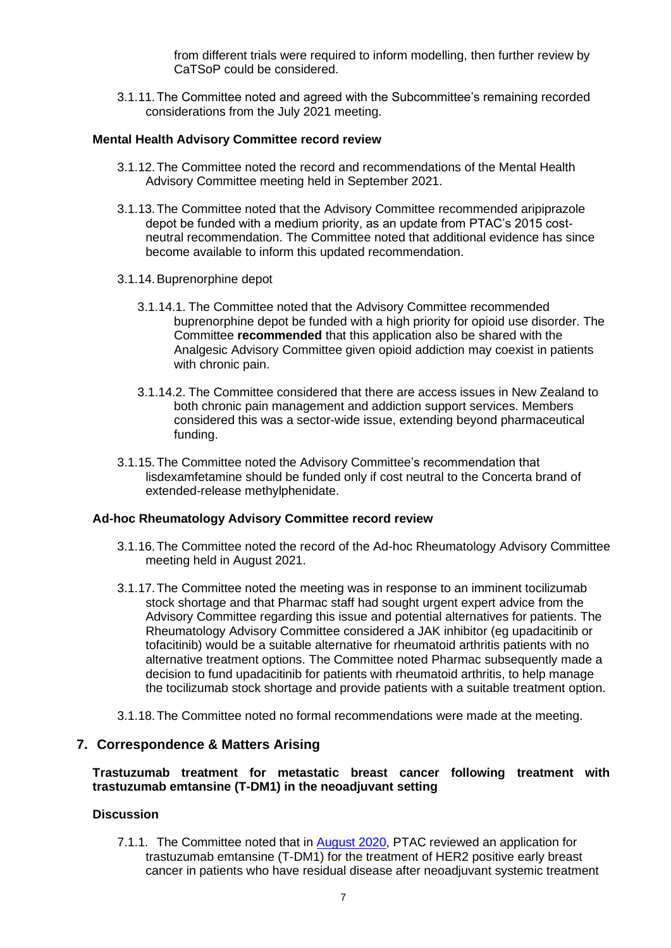from different trials were required to inform modelling, then further review by CaTSoP could be considered.

3.1.11.The Committee noted and agreed with the Subcommittee's remaining recorded considerations from the July 2021 meeting.

### <span id="page-6-0"></span>**Mental Health Advisory Committee record review**

- 3.1.12.The Committee noted the record and recommendations of the Mental Health Advisory Committee meeting held in September 2021.
- 3.1.13.The Committee noted that the Advisory Committee recommended aripiprazole depot be funded with a medium priority, as an update from PTAC's 2015 costneutral recommendation. The Committee noted that additional evidence has since become available to inform this updated recommendation.
- 3.1.14.Buprenorphine depot
	- 3.1.14.1. The Committee noted that the Advisory Committee recommended buprenorphine depot be funded with a high priority for opioid use disorder. The Committee **recommended** that this application also be shared with the Analgesic Advisory Committee given opioid addiction may coexist in patients with chronic pain.
	- 3.1.14.2. The Committee considered that there are access issues in New Zealand to both chronic pain management and addiction support services. Members considered this was a sector-wide issue, extending beyond pharmaceutical funding.
- 3.1.15.The Committee noted the Advisory Committee's recommendation that lisdexamfetamine should be funded only if cost neutral to the Concerta brand of extended-release methylphenidate.

#### <span id="page-6-1"></span>**Ad-hoc Rheumatology Advisory Committee record review**

- 3.1.16.The Committee noted the record of the Ad-hoc Rheumatology Advisory Committee meeting held in August 2021.
- 3.1.17.The Committee noted the meeting was in response to an imminent tocilizumab stock shortage and that Pharmac staff had sought urgent expert advice from the Advisory Committee regarding this issue and potential alternatives for patients. The Rheumatology Advisory Committee considered a JAK inhibitor (eg upadacitinib or tofacitinib) would be a suitable alternative for rheumatoid arthritis patients with no alternative treatment options. The Committee noted Pharmac subsequently made a decision to fund upadacitinib for patients with rheumatoid arthritis, to help manage the tocilizumab stock shortage and provide patients with a suitable treatment option.
- 3.1.18.The Committee noted no formal recommendations were made at the meeting.

# <span id="page-6-2"></span>**7. Correspondence & Matters Arising**

### <span id="page-6-3"></span>**Trastuzumab treatment for metastatic breast cancer following treatment with trastuzumab emtansine (T-DM1) in the neoadjuvant setting**

### <span id="page-6-4"></span>**Discussion**

7.1.1. The Committee noted that in **August 2020**, PTAC reviewed an application for trastuzumab emtansine (T-DM1) for the treatment of HER2 positive early breast cancer in patients who have residual disease after neoadjuvant systemic treatment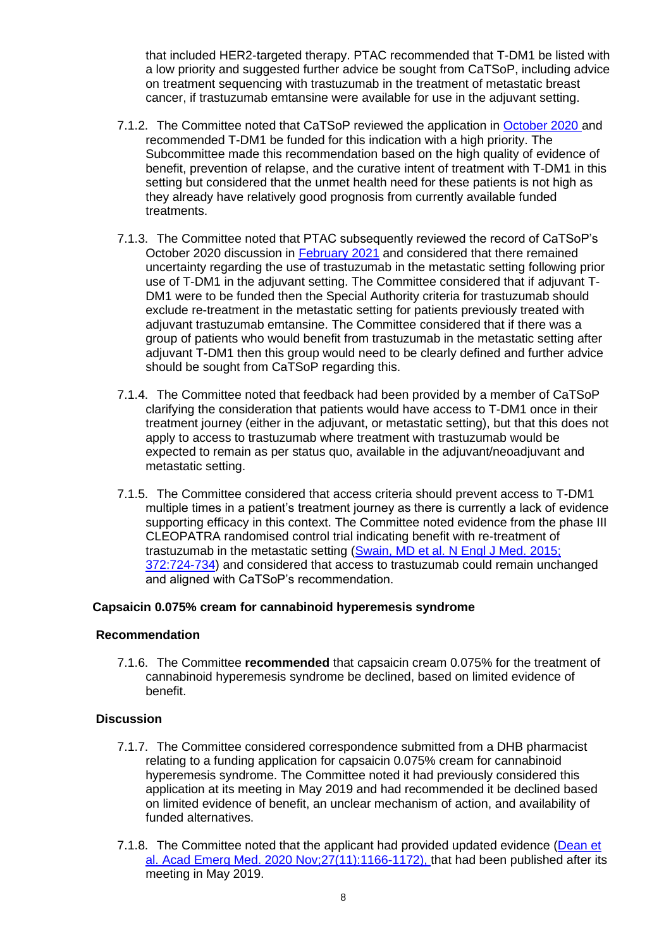that included HER2-targeted therapy. PTAC recommended that T-DM1 be listed with a low priority and suggested further advice be sought from CaTSoP, including advice on treatment sequencing with trastuzumab in the treatment of metastatic breast cancer, if trastuzumab emtansine were available for use in the adjuvant setting.

- 7.1.2. The Committee noted that CaTSoP reviewed the application in [October 2020 a](https://pharmac.govt.nz/assets/2020-10-Cancer-Treatment-Subcommittee-Record-published-25-February-2021.pdf)nd recommended T-DM1 be funded for this indication with a high priority. The Subcommittee made this recommendation based on the high quality of evidence of benefit, prevention of relapse, and the curative intent of treatment with T-DM1 in this setting but considered that the unmet health need for these patients is not high as they already have relatively good prognosis from currently available funded treatments.
- 7.1.3. The Committee noted that PTAC subsequently reviewed the record of CaTSoP's October 2020 discussion in [February 2021](https://pharmac.govt.nz/assets/2021-02-18-PTAC-Record.pdf) and considered that there remained uncertainty regarding the use of trastuzumab in the metastatic setting following prior use of T-DM1 in the adjuvant setting. The Committee considered that if adjuvant T-DM1 were to be funded then the Special Authority criteria for trastuzumab should exclude re-treatment in the metastatic setting for patients previously treated with adjuvant trastuzumab emtansine. The Committee considered that if there was a group of patients who would benefit from trastuzumab in the metastatic setting after adjuvant T-DM1 then this group would need to be clearly defined and further advice should be sought from CaTSoP regarding this.
- 7.1.4. The Committee noted that feedback had been provided by a member of CaTSoP clarifying the consideration that patients would have access to T-DM1 once in their treatment journey (either in the adjuvant, or metastatic setting), but that this does not apply to access to trastuzumab where treatment with trastuzumab would be expected to remain as per status quo, available in the adjuvant/neoadjuvant and metastatic setting.
- 7.1.5. The Committee considered that access criteria should prevent access to T-DM1 multiple times in a patient's treatment journey as there is currently a lack of evidence supporting efficacy in this context. The Committee noted evidence from the phase III CLEOPATRA randomised control trial indicating benefit with re-treatment of trastuzumab in the metastatic setting (Swain, MD et al. N Engl J Med. 2015; [372:724-734\)](https://www.nejm.org/doi/full/10.1056/nejmoa1413513) and considered that access to trastuzumab could remain unchanged and aligned with CaTSoP's recommendation.

# <span id="page-7-0"></span>**Capsaicin 0.075% cream for cannabinoid hyperemesis syndrome**

#### **Recommendation**

7.1.6. The Committee **recommended** that capsaicin cream 0.075% for the treatment of cannabinoid hyperemesis syndrome be declined, based on limited evidence of benefit.

- 7.1.7. The Committee considered correspondence submitted from a DHB pharmacist relating to a funding application for capsaicin 0.075% cream for cannabinoid hyperemesis syndrome. The Committee noted it had previously considered this application at its meeting in May 2019 and had recommended it be declined based on limited evidence of benefit, an unclear mechanism of action, and availability of funded alternatives.
- 7.1.8. The Committee noted that the applicant had provided updated evidence [\(Dean et](https://pubmed.ncbi.nlm.nih.gov/32569429/)  [al. Acad Emerg Med. 2020 Nov;27\(11\):1166-1172\),](https://pubmed.ncbi.nlm.nih.gov/32569429/) that had been published after its meeting in May 2019.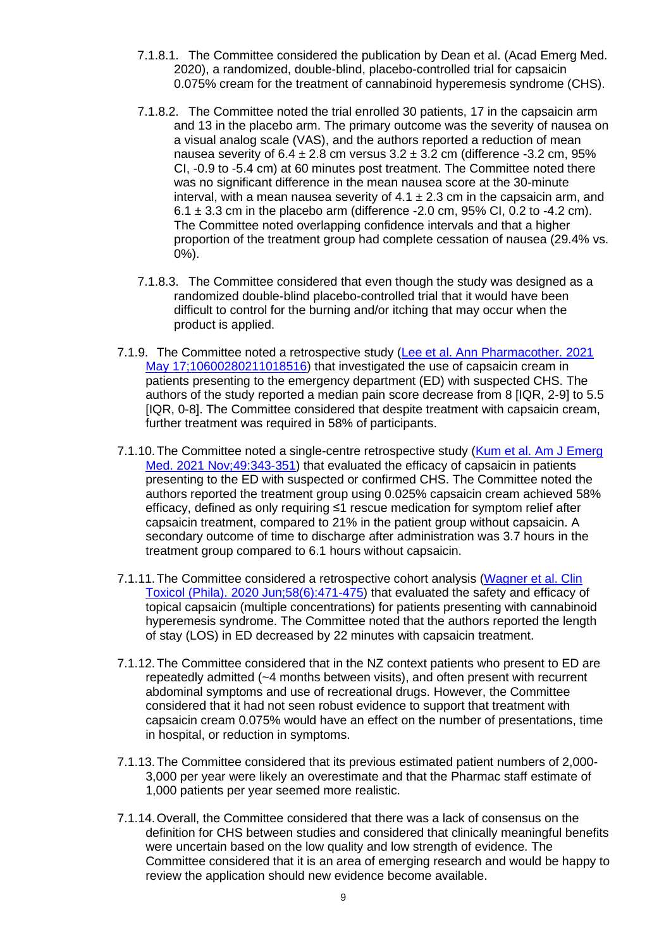- 7.1.8.1. The Committee considered the publication by Dean et al. (Acad Emerg Med. 2020), a randomized, double-blind, placebo-controlled trial for capsaicin 0.075% cream for the treatment of cannabinoid hyperemesis syndrome (CHS).
- 7.1.8.2. The Committee noted the trial enrolled 30 patients, 17 in the capsaicin arm and 13 in the placebo arm. The primary outcome was the severity of nausea on a visual analog scale (VAS), and the authors reported a reduction of mean nausea severity of  $6.4 \pm 2.8$  cm versus  $3.2 \pm 3.2$  cm (difference -3.2 cm, 95% CI, -0.9 to -5.4 cm) at 60 minutes post treatment. The Committee noted there was no significant difference in the mean nausea score at the 30-minute interval, with a mean nausea severity of  $4.1 \pm 2.3$  cm in the capsaicin arm, and  $6.1 \pm 3.3$  cm in the placebo arm (difference -2.0 cm, 95% CI, 0.2 to -4.2 cm). The Committee noted overlapping confidence intervals and that a higher proportion of the treatment group had complete cessation of nausea (29.4% vs. 0%).
- 7.1.8.3. The Committee considered that even though the study was designed as a randomized double-blind placebo-controlled trial that it would have been difficult to control for the burning and/or itching that may occur when the product is applied.
- 7.1.9. The Committee noted a retrospective study [\(Lee et al. Ann Pharmacother. 2021](https://pubmed.ncbi.nlm.nih.gov/33998315/)  [May 17;10600280211018516\)](https://pubmed.ncbi.nlm.nih.gov/33998315/) that investigated the use of capsaicin cream in patients presenting to the emergency department (ED) with suspected CHS. The authors of the study reported a median pain score decrease from 8 [IQR, 2-9] to 5.5 [IQR, 0-8]. The Committee considered that despite treatment with capsaicin cream, further treatment was required in 58% of participants.
- 7.1.10.The Committee noted a single-centre retrospective study [\(Kum et al. Am J Emerg](https://pubmed.ncbi.nlm.nih.gov/34242945/)  [Med. 2021 Nov;49:343-351\)](https://pubmed.ncbi.nlm.nih.gov/34242945/) that evaluated the efficacy of capsaicin in patients presenting to the ED with suspected or confirmed CHS. The Committee noted the authors reported the treatment group using 0.025% capsaicin cream achieved 58% efficacy, defined as only requiring ≤1 rescue medication for symptom relief after capsaicin treatment, compared to 21% in the patient group without capsaicin. A secondary outcome of time to discharge after administration was 3.7 hours in the treatment group compared to 6.1 hours without capsaicin.
- 7.1.11.The Committee considered a retrospective cohort analysis [\(Wagner et al. Clin](https://pubmed.ncbi.nlm.nih.gov/31482758/)  [Toxicol \(Phila\). 2020 Jun;58\(6\):471-475\)](https://pubmed.ncbi.nlm.nih.gov/31482758/) that evaluated the safety and efficacy of topical capsaicin (multiple concentrations) for patients presenting with cannabinoid hyperemesis syndrome. The Committee noted that the authors reported the length of stay (LOS) in ED decreased by 22 minutes with capsaicin treatment.
- 7.1.12.The Committee considered that in the NZ context patients who present to ED are repeatedly admitted (~4 months between visits), and often present with recurrent abdominal symptoms and use of recreational drugs. However, the Committee considered that it had not seen robust evidence to support that treatment with capsaicin cream 0.075% would have an effect on the number of presentations, time in hospital, or reduction in symptoms.
- 7.1.13.The Committee considered that its previous estimated patient numbers of 2,000- 3,000 per year were likely an overestimate and that the Pharmac staff estimate of 1,000 patients per year seemed more realistic.
- 7.1.14.Overall, the Committee considered that there was a lack of consensus on the definition for CHS between studies and considered that clinically meaningful benefits were uncertain based on the low quality and low strength of evidence. The Committee considered that it is an area of emerging research and would be happy to review the application should new evidence become available.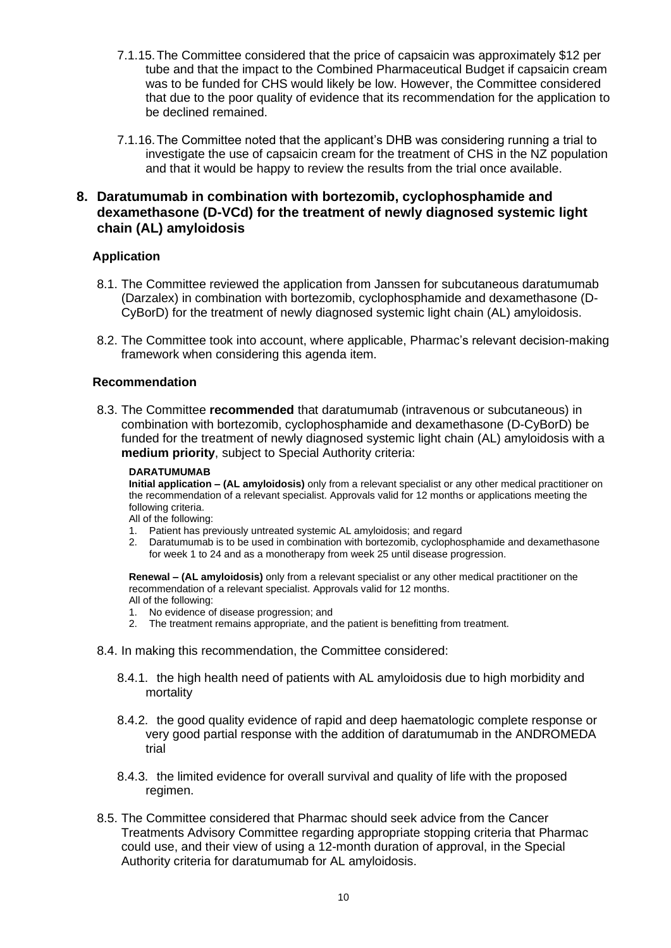- 7.1.15.The Committee considered that the price of capsaicin was approximately \$12 per tube and that the impact to the Combined Pharmaceutical Budget if capsaicin cream was to be funded for CHS would likely be low. However, the Committee considered that due to the poor quality of evidence that its recommendation for the application to be declined remained.
- 7.1.16.The Committee noted that the applicant's DHB was considering running a trial to investigate the use of capsaicin cream for the treatment of CHS in the NZ population and that it would be happy to review the results from the trial once available.

# <span id="page-9-0"></span>**8. Daratumumab in combination with bortezomib, cyclophosphamide and dexamethasone (D-VCd) for the treatment of newly diagnosed systemic light chain (AL) amyloidosis**

# <span id="page-9-1"></span>**Application**

- 8.1. The Committee reviewed the application from Janssen for subcutaneous daratumumab (Darzalex) in combination with bortezomib, cyclophosphamide and dexamethasone (D-CyBorD) for the treatment of newly diagnosed systemic light chain (AL) amyloidosis.
- 8.2. The Committee took into account, where applicable, Pharmac's relevant decision-making framework when considering this agenda item.

# <span id="page-9-2"></span>**Recommendation**

8.3. The Committee **recommended** that daratumumab (intravenous or subcutaneous) in combination with bortezomib, cyclophosphamide and dexamethasone (D-CyBorD) be funded for the treatment of newly diagnosed systemic light chain (AL) amyloidosis with a **medium priority**, subject to Special Authority criteria:

#### **DARATUMUMAB**

**Initial application – (AL amyloidosis)** only from a relevant specialist or any other medical practitioner on the recommendation of a relevant specialist. Approvals valid for 12 months or applications meeting the following criteria.

All of the following:

- 1. Patient has previously untreated systemic AL amyloidosis; and regard
- 2. Daratumumab is to be used in combination with bortezomib, cyclophosphamide and dexamethasone for week 1 to 24 and as a monotherapy from week 25 until disease progression.

**Renewal – (AL amyloidosis)** only from a relevant specialist or any other medical practitioner on the recommendation of a relevant specialist. Approvals valid for 12 months. All of the following:

- 1. No evidence of disease progression; and
- 2. The treatment remains appropriate, and the patient is benefitting from treatment.
- 8.4. In making this recommendation, the Committee considered:
	- 8.4.1. the high health need of patients with AL amyloidosis due to high morbidity and mortality
	- 8.4.2. the good quality evidence of rapid and deep haematologic complete response or very good partial response with the addition of daratumumab in the ANDROMEDA trial
	- 8.4.3. the limited evidence for overall survival and quality of life with the proposed regimen.
- 8.5. The Committee considered that Pharmac should seek advice from the Cancer Treatments Advisory Committee regarding appropriate stopping criteria that Pharmac could use, and their view of using a 12-month duration of approval, in the Special Authority criteria for daratumumab for AL amyloidosis.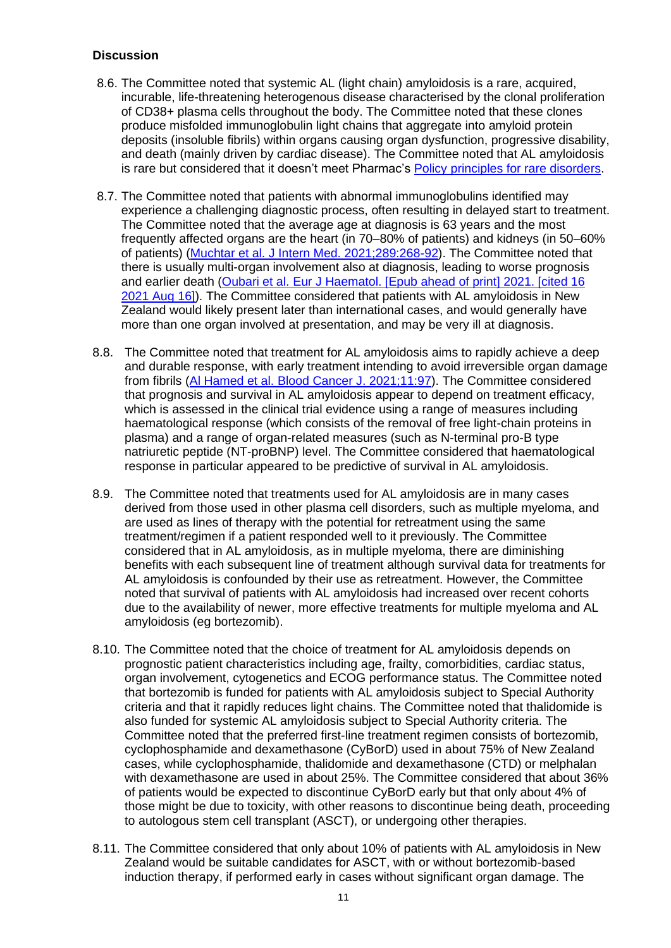- <span id="page-10-0"></span>8.6. The Committee noted that systemic AL (light chain) amyloidosis is a rare, acquired, incurable, life-threatening heterogenous disease characterised by the clonal proliferation of CD38+ plasma cells throughout the body. The Committee noted that these clones produce misfolded immunoglobulin light chains that aggregate into amyloid protein deposits (insoluble fibrils) within organs causing organ dysfunction, progressive disability, and death (mainly driven by cardiac disease). The Committee noted that AL amyloidosis is rare but considered that it doesn't meet Pharmac's [Policy principles for rare disorders.](https://pharmac.govt.nz/medicine-funding-and-supply/the-funding-process/from-application-to-funded-medicine-how-we-fund-a-medicine/medicines-for-rare-disorders/)
- 8.7. The Committee noted that patients with abnormal immunoglobulins identified may experience a challenging diagnostic process, often resulting in delayed start to treatment. The Committee noted that the average age at diagnosis is 63 years and the most frequently affected organs are the heart (in 70–80% of patients) and kidneys (in 50–60% of patients) [\(Muchtar et al. J Intern Med. 2021;289:268-92\)](https://onlinelibrary.wiley.com/doi/10.1111/joim.13169). The Committee noted that there is usually multi-organ involvement also at diagnosis, leading to worse prognosis and earlier death [\(Oubari et al. Eur J Haematol. \[Epub ahead of print\] 2021. \[cited 16](https://doi.org/10.1111/ejh.13681)  [2021 Aug 16\]\)](https://doi.org/10.1111/ejh.13681). The Committee considered that patients with AL amyloidosis in New Zealand would likely present later than international cases, and would generally have more than one organ involved at presentation, and may be very ill at diagnosis.
- 8.8. The Committee noted that treatment for AL amyloidosis aims to rapidly achieve a deep and durable response, with early treatment intending to avoid irreversible organ damage from fibrils [\(Al Hamed et al. Blood Cancer J. 2021;11:97\)](https://doi.org/10.1038/s41408-021-00486-4). The Committee considered that prognosis and survival in AL amyloidosis appear to depend on treatment efficacy, which is assessed in the clinical trial evidence using a range of measures including haematological response (which consists of the removal of free light-chain proteins in plasma) and a range of organ-related measures (such as N-terminal pro-B type natriuretic peptide (NT-proBNP) level. The Committee considered that haematological response in particular appeared to be predictive of survival in AL amyloidosis.
- 8.9. The Committee noted that treatments used for AL amyloidosis are in many cases derived from those used in other plasma cell disorders, such as multiple myeloma, and are used as lines of therapy with the potential for retreatment using the same treatment/regimen if a patient responded well to it previously. The Committee considered that in AL amyloidosis, as in multiple myeloma, there are diminishing benefits with each subsequent line of treatment although survival data for treatments for AL amyloidosis is confounded by their use as retreatment. However, the Committee noted that survival of patients with AL amyloidosis had increased over recent cohorts due to the availability of newer, more effective treatments for multiple myeloma and AL amyloidosis (eg bortezomib).
- 8.10. The Committee noted that the choice of treatment for AL amyloidosis depends on prognostic patient characteristics including age, frailty, comorbidities, cardiac status, organ involvement, cytogenetics and ECOG performance status. The Committee noted that bortezomib is funded for patients with AL amyloidosis subject to [Special Authority](https://schedule.pharmac.govt.nz/2021/08/01/SA1889.pdf)  [criteria](https://schedule.pharmac.govt.nz/2021/08/01/SA1889.pdf) and that it rapidly reduces light chains. The Committee noted that thalidomide is also funded for systemic AL amyloidosis subject to [Special Authority criteria.](https://schedule.pharmac.govt.nz/2021/10/01/SA1124.pdf) The Committee noted that the preferred first-line treatment regimen consists of bortezomib, cyclophosphamide and dexamethasone (CyBorD) used in about 75% of New Zealand cases, while cyclophosphamide, thalidomide and dexamethasone (CTD) or melphalan with dexamethasone are used in about 25%. The Committee considered that about 36% of patients would be expected to discontinue CyBorD early but that only about 4% of those might be due to toxicity, with other reasons to discontinue being death, proceeding to autologous stem cell transplant (ASCT), or undergoing other therapies.
- 8.11. The Committee considered that only about 10% of patients with AL amyloidosis in New Zealand would be suitable candidates for ASCT, with or without bortezomib-based induction therapy, if performed early in cases without significant organ damage. The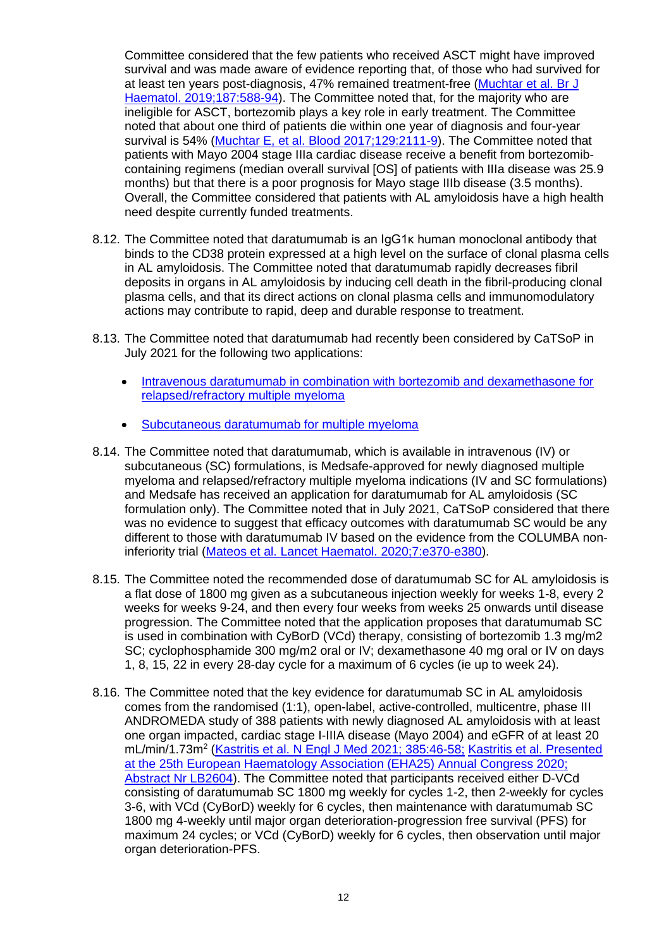Committee considered that the few patients who received ASCT might have improved survival and was made aware of evidence reporting that, of those who had survived for at least ten years post-diagnosis, 47% remained treatment-free [\(Muchtar et al. Br J](https://www.ncbi.nlm.nih.gov/pmc/articles/pmid/31298751/)  [Haematol. 2019;187:588-94\)](https://www.ncbi.nlm.nih.gov/pmc/articles/pmid/31298751/). The Committee noted that, for the majority who are ineligible for ASCT, bortezomib plays a key role in early treatment. The Committee noted that about one third of patients die within one year of diagnosis and four-year survival is 54% [\(Muchtar E, et al. Blood 2017;129:2111-9\)](https://www.ncbi.nlm.nih.gov/pmc/articles/pmid/28126928/). The Committee noted that patients with Mayo 2004 stage IIIa cardiac disease receive a benefit from bortezomibcontaining regimens (median overall survival [OS] of patients with IIIa disease was 25.9 months) but that there is a poor prognosis for Mayo stage IIIb disease (3.5 months). Overall, the Committee considered that patients with AL amyloidosis have a high health need despite currently funded treatments.

- 8.12. The Committee noted that daratumumab is an IgG1κ human monoclonal antibody that binds to the CD38 protein expressed at a high level on the surface of clonal plasma cells in AL amyloidosis. The Committee noted that daratumumab rapidly decreases fibril deposits in organs in AL amyloidosis by inducing cell death in the fibril-producing clonal plasma cells, and that its direct actions on clonal plasma cells and immunomodulatory actions may contribute to rapid, deep and durable response to treatment.
- 8.13. The Committee noted that daratumumab had recently been considered by CaTSoP in [July 2021](https://pharmac.govt.nz/assets/2021-07-Catsop_record.pdf) for the following two applications:
	- [Intravenous daratumumab in combination with bortezomib and dexamethasone for](https://connect.pharmac.govt.nz/apptracker/s/application-public/a102P000008ptxu/p000337)  [relapsed/refractory multiple myeloma](https://connect.pharmac.govt.nz/apptracker/s/application-public/a102P000008ptxu/p000337)
	- [Subcutaneous daratumumab for multiple myeloma](https://connect.pharmac.govt.nz/apptracker/s/application-public/a102P00000BD0yw)
- 8.14. The Committee noted that daratumumab, which is available in intravenous (IV) or subcutaneous (SC) formulations, is Medsafe-approved for newly diagnosed multiple myeloma and relapsed/refractory multiple myeloma indications (IV and SC formulations) and Medsafe has received an application for daratumumab for AL amyloidosis (SC formulation only). The Committee noted that in [July 2021,](https://pharmac.govt.nz/assets/2021-07-Catsop_record.pdf) CaTSoP considered that there was no evidence to suggest that efficacy outcomes with daratumumab SC would be any different to those with daratumumab IV based on the evidence from the COLUMBA noninferiority trial [\(Mateos et al. Lancet Haematol. 2020;7:e370-e380\)](https://www.thelancet.com/journals/lanhae/article/PIIS2352-3026(20)30070-3/).
- 8.15. The Committee noted the recommended dose of daratumumab SC for AL amyloidosis is a flat dose of 1800 mg given as a subcutaneous injection weekly for weeks 1-8, every 2 weeks for weeks 9-24, and then every four weeks from weeks 25 onwards until disease progression. The Committee noted that the application proposes that daratumumab SC is used in combination with CyBorD (VCd) therapy, consisting of bortezomib 1.3 mg/m2 SC; cyclophosphamide 300 mg/m2 oral or IV; dexamethasone 40 mg oral or IV on days 1, 8, 15, 22 in every 28-day cycle for a maximum of 6 cycles (ie up to week 24).
- 8.16. The Committee noted that the key evidence for daratumumab SC in AL amyloidosis comes from the randomised (1:1), open-label, active-controlled, multicentre, phase III ANDROMEDA study of 388 patients with newly diagnosed AL amyloidosis with at least one organ impacted, cardiac stage I-IIIA disease (Mayo 2004) and eGFR of at least 20 mL/min/1.73m<sup>2</sup> [\(Kastritis et al. N Engl J Med 2021; 385:46-58;](https://www.nejm.org/doi/full/10.1056/NEJMoa2028631) Kastritis et al. Presented [at the 25th European Haematology Association \(EHA25\) Annual Congress 2020;](https://library.ehaweb.org/eha/2020/eha25th/303396/efstathios.kastritis.subcutaneous.daratumumab.2B.cycl%20ophosphamide.bortezomib.html?f=listing%3D0%2Abrowseby%3D8%2Asortby%3D1%2Amedia%3D3%2Ace_i)  [Abstract Nr LB2604\)](https://library.ehaweb.org/eha/2020/eha25th/303396/efstathios.kastritis.subcutaneous.daratumumab.2B.cycl%20ophosphamide.bortezomib.html?f=listing%3D0%2Abrowseby%3D8%2Asortby%3D1%2Amedia%3D3%2Ace_i). The Committee noted that participants received either D-VCd consisting of daratumumab SC 1800 mg weekly for cycles 1-2, then 2-weekly for cycles 3-6, with VCd (CyBorD) weekly for 6 cycles, then maintenance with daratumumab SC 1800 mg 4-weekly until major organ deterioration-progression free survival (PFS) for maximum 24 cycles; or VCd (CyBorD) weekly for 6 cycles, then observation until major organ deterioration-PFS.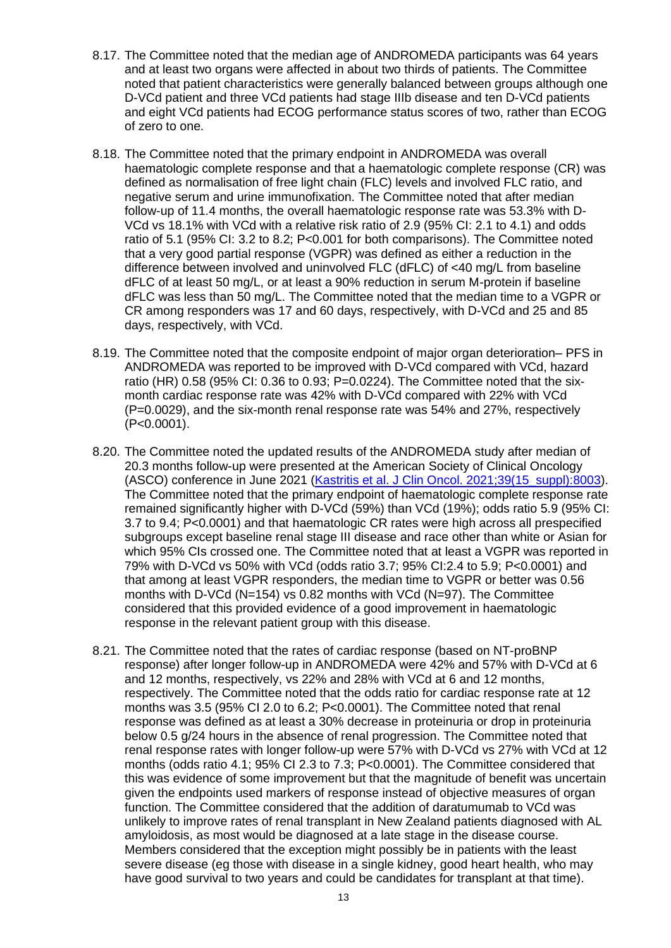- 8.17. The Committee noted that the median age of ANDROMEDA participants was 64 years and at least two organs were affected in about two thirds of patients. The Committee noted that patient characteristics were generally balanced between groups although one D-VCd patient and three VCd patients had stage IIIb disease and ten D-VCd patients and eight VCd patients had ECOG performance status scores of two, rather than ECOG of zero to one.
- 8.18. The Committee noted that the primary endpoint in ANDROMEDA was overall haematologic complete response and that a haematologic complete response (CR) was defined as normalisation of free light chain (FLC) levels and involved FLC ratio, and negative serum and urine immunofixation. The Committee noted that after median follow-up of 11.4 months, the overall haematologic response rate was 53.3% with D-VCd vs 18.1% with VCd with a relative risk ratio of 2.9 (95% CI: 2.1 to 4.1) and odds ratio of 5.1 (95% CI: 3.2 to 8.2; P<0.001 for both comparisons). The Committee noted that a very good partial response (VGPR) was defined as either a reduction in the difference between involved and uninvolved FLC (dFLC) of <40 mg/L from baseline dFLC of at least 50 mg/L, or at least a 90% reduction in serum M-protein if baseline dFLC was less than 50 mg/L. The Committee noted that the median time to a VGPR or CR among responders was 17 and 60 days, respectively, with D-VCd and 25 and 85 days, respectively, with VCd.
- 8.19. The Committee noted that the composite endpoint of major organ deterioration– PFS in ANDROMEDA was reported to be improved with D-VCd compared with VCd, hazard ratio (HR) 0.58 (95% CI: 0.36 to 0.93; P=0.0224). The Committee noted that the sixmonth cardiac response rate was 42% with D-VCd compared with 22% with VCd (P=0.0029), and the six-month renal response rate was 54% and 27%, respectively (P<0.0001).
- 8.20. The Committee noted the updated results of the ANDROMEDA study after median of 20.3 months follow-up were presented at the American Society of Clinical Oncology (ASCO) conference in June 2021 [\(Kastritis et al. J Clin Oncol. 2021;39\(15\\_suppl\):8003\)](https://ascopubs.org/doi/abs/10.1200/JCO.2021.39.15_suppl.8003). The Committee noted that the primary endpoint of haematologic complete response rate remained significantly higher with D-VCd (59%) than VCd (19%); odds ratio 5.9 (95% CI: 3.7 to 9.4; P<0.0001) and that haematologic CR rates were high across all prespecified subgroups except baseline renal stage III disease and race other than white or Asian for which 95% CIs crossed one. The Committee noted that at least a VGPR was reported in 79% with D-VCd vs 50% with VCd (odds ratio 3.7; 95% CI:2.4 to 5.9; P<0.0001) and that among at least VGPR responders, the median time to VGPR or better was 0.56 months with D-VCd (N=154) vs 0.82 months with VCd (N=97). The Committee considered that this provided evidence of a good improvement in haematologic response in the relevant patient group with this disease.
- 8.21. The Committee noted that the rates of cardiac response (based on NT-proBNP response) after longer follow-up in ANDROMEDA were 42% and 57% with D-VCd at 6 and 12 months, respectively, vs 22% and 28% with VCd at 6 and 12 months, respectively. The Committee noted that the odds ratio for cardiac response rate at 12 months was 3.5 (95% CI 2.0 to 6.2; P<0.0001). The Committee noted that renal response was defined as at least a 30% decrease in proteinuria or drop in proteinuria below 0.5 g/24 hours in the absence of renal progression. The Committee noted that renal response rates with longer follow-up were 57% with D-VCd vs 27% with VCd at 12 months (odds ratio 4.1; 95% CI 2.3 to 7.3; P<0.0001). The Committee considered that this was evidence of some improvement but that the magnitude of benefit was uncertain given the endpoints used markers of response instead of objective measures of organ function. The Committee considered that the addition of daratumumab to VCd was unlikely to improve rates of renal transplant in New Zealand patients diagnosed with AL amyloidosis, as most would be diagnosed at a late stage in the disease course. Members considered that the exception might possibly be in patients with the least severe disease (eg those with disease in a single kidney, good heart health, who may have good survival to two years and could be candidates for transplant at that time).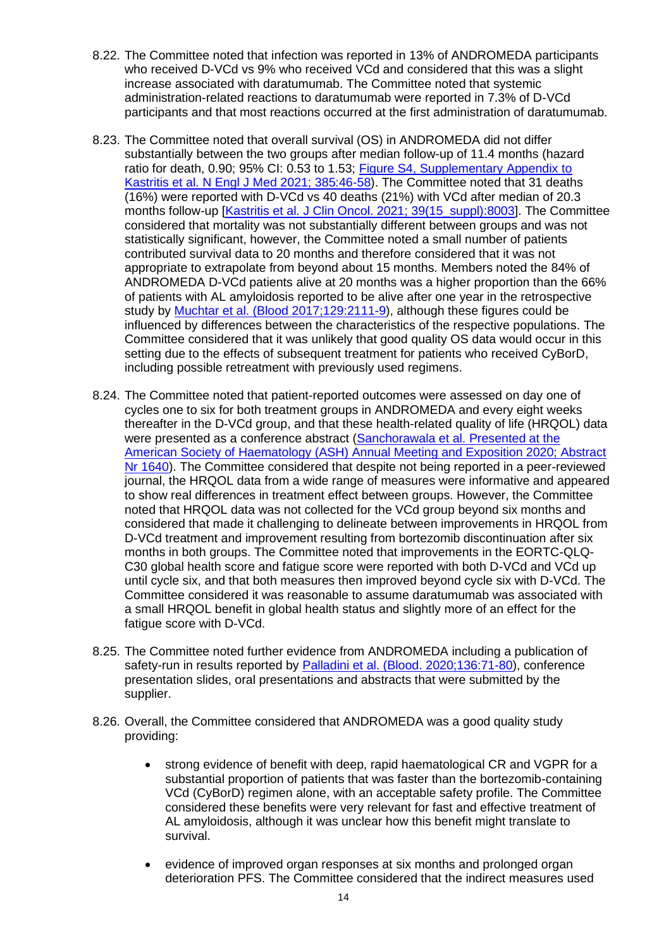- 8.22. The Committee noted that infection was reported in 13% of ANDROMEDA participants who received D-VCd vs 9% who received VCd and considered that this was a slight increase associated with daratumumab. The Committee noted that systemic administration-related reactions to daratumumab were reported in 7.3% of D-VCd participants and that most reactions occurred at the first administration of daratumumab.
- 8.23. The Committee noted that overall survival (OS) in ANDROMEDA did not differ substantially between the two groups after median follow-up of 11.4 months (hazard ratio for death, 0.90; 95% CI: 0.53 to 1.53; [Figure S4, Supplementary Appendix to](https://www.nejm.org/doi/suppl/10.1056/NEJMoa2028631/suppl_file/nejmoa2028631_appendix.pdf)  [Kastritis et al. N Engl J Med 2021; 385:46-58\)](https://www.nejm.org/doi/suppl/10.1056/NEJMoa2028631/suppl_file/nejmoa2028631_appendix.pdf). The Committee noted that 31 deaths (16%) were reported with D-VCd vs 40 deaths (21%) with VCd after median of 20.3 months follow-up [\[Kastritis et al. J Clin Oncol. 2021; 39\(15\\_suppl\):8003\]](https://ascopubs.org/doi/abs/10.1200/JCO.2021.39.15_suppl.8003). The Committee considered that mortality was not substantially different between groups and was not statistically significant, however, the Committee noted a small number of patients contributed survival data to 20 months and therefore considered that it was not appropriate to extrapolate from beyond about 15 months. Members noted the 84% of ANDROMEDA D-VCd patients alive at 20 months was a higher proportion than the 66% of patients with AL amyloidosis reported to be alive after one year in the retrospective study by [Muchtar et al. \(Blood 2017;129:2111-9\)](https://www.ncbi.nlm.nih.gov/pmc/articles/pmid/28126928/), although these figures could be influenced by differences between the characteristics of the respective populations. The Committee considered that it was unlikely that good quality OS data would occur in this setting due to the effects of subsequent treatment for patients who received CyBorD, including possible retreatment with previously used regimens.
- 8.24. The Committee noted that patient-reported outcomes were assessed on day one of cycles one to six for both treatment groups in ANDROMEDA and every eight weeks thereafter in the D-VCd group, and that these health-related quality of life (HRQOL) data were presented as a conference abstract [\(Sanchorawala et al.](https://ash.confex.com/ash/2020/webprogram/Paper139438.html) Presented at the [American Society of Haematology \(ASH\) Annual Meeting and Exposition 2020; Abstract](https://ash.confex.com/ash/2020/webprogram/Paper139438.html)  [Nr 1640\)](https://ash.confex.com/ash/2020/webprogram/Paper139438.html). The Committee considered that despite not being reported in a peer-reviewed journal, the HRQOL data from a wide range of measures were informative and appeared to show real differences in treatment effect between groups. However, the Committee noted that HRQOL data was not collected for the VCd group beyond six months and considered that made it challenging to delineate between improvements in HRQOL from D-VCd treatment and improvement resulting from bortezomib discontinuation after six months in both groups. The Committee noted that improvements in the EORTC-QLQ-C30 global health score and fatigue score were reported with both D-VCd and VCd up until cycle six, and that both measures then improved beyond cycle six with D-VCd. The Committee considered it was reasonable to assume daratumumab was associated with a small HRQOL benefit in global health status and slightly more of an effect for the fatigue score with D-VCd.
- 8.25. The Committee noted further evidence from ANDROMEDA including a publication of safety-run in results reported by [Palladini et al. \(Blood. 2020;136:71-80\)](https://ashpublications.org/blood/article-lookup/doi/10.1182/blood.2019004460), conference presentation slides, oral presentations and abstracts that were submitted by the supplier.
- 8.26. Overall, the Committee considered that ANDROMEDA was a good quality study providing:
	- strong evidence of benefit with deep, rapid haematological CR and VGPR for a substantial proportion of patients that was faster than the bortezomib-containing VCd (CyBorD) regimen alone, with an acceptable safety profile. The Committee considered these benefits were very relevant for fast and effective treatment of AL amyloidosis, although it was unclear how this benefit might translate to survival.
	- evidence of improved organ responses at six months and prolonged organ deterioration PFS. The Committee considered that the indirect measures used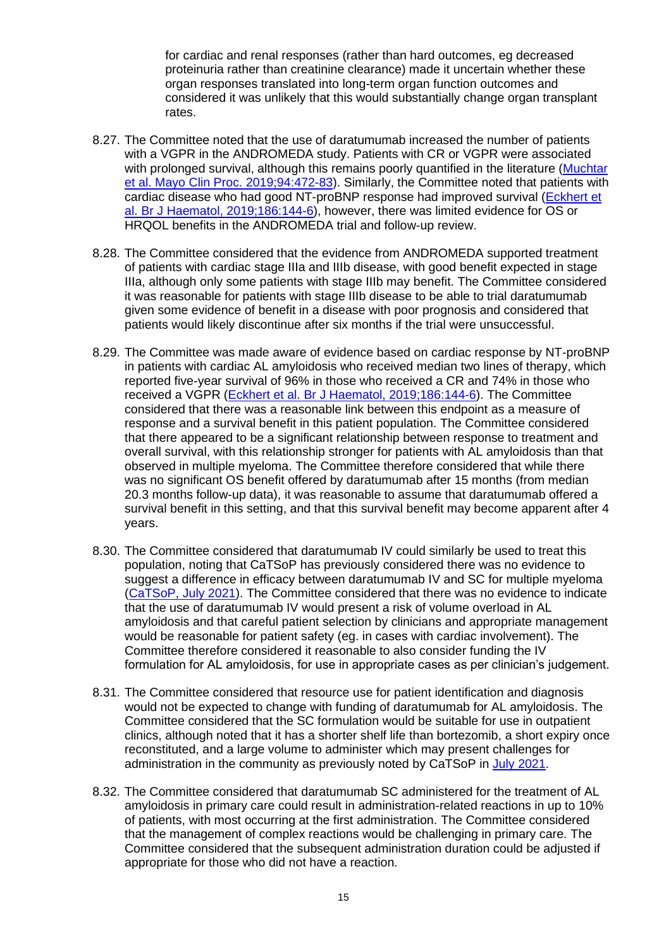for cardiac and renal responses (rather than hard outcomes, eg decreased proteinuria rather than creatinine clearance) made it uncertain whether these organ responses translated into long-term organ function outcomes and considered it was unlikely that this would substantially change organ transplant rates.

- 8.27. The Committee noted that the use of daratumumab increased the number of patients with a VGPR in the ANDROMEDA study. Patients with CR or VGPR were associated with prolonged survival, although this remains poorly quantified in the literature (Muchtar [et al. Mayo Clin Proc. 2019;94:472-83\)](https://linkinghub.elsevier.com/retrieve/pii/S0025-6196(18)30610-4). Similarly, the Committee noted that patients with cardiac disease who had good NT-proBNP response had improved survival [\(Eckhert et](https://onlinelibrary.wiley.com/doi/full/10.1111/bjh.15717)  [al. Br J Haematol, 2019;186:144-6\)](https://onlinelibrary.wiley.com/doi/full/10.1111/bjh.15717), however, there was limited evidence for OS or HRQOL benefits in the ANDROMEDA trial and follow-up review.
- 8.28. The Committee considered that the evidence from ANDROMEDA supported treatment of patients with cardiac stage IIIa and IIIb disease, with good benefit expected in stage IIIa, although only some patients with stage IIIb may benefit. The Committee considered it was reasonable for patients with stage IIIb disease to be able to trial daratumumab given some evidence of benefit in a disease with poor prognosis and considered that patients would likely discontinue after six months if the trial were unsuccessful.
- 8.29. The Committee was made aware of evidence based on cardiac response by NT-proBNP in patients with cardiac AL amyloidosis who received median two lines of therapy, which reported five-year survival of 96% in those who received a CR and 74% in those who received a VGPR [\(Eckhert et al. Br J Haematol, 2019;186:144-6\)](https://onlinelibrary.wiley.com/doi/full/10.1111/bjh.15717). The Committee considered that there was a reasonable link between this endpoint as a measure of response and a survival benefit in this patient population. The Committee considered that there appeared to be a significant relationship between response to treatment and overall survival, with this relationship stronger for patients with AL amyloidosis than that observed in multiple myeloma. The Committee therefore considered that while there was no significant OS benefit offered by daratumumab after 15 months (from median 20.3 months follow-up data), it was reasonable to assume that daratumumab offered a survival benefit in this setting, and that this survival benefit may become apparent after 4 years.
- 8.30. The Committee considered that daratumumab IV could similarly be used to treat this population, noting that CaTSoP has previously considered there was no evidence to suggest a difference in efficacy between daratumumab IV and SC for multiple myeloma [\(CaTSoP, July 2021\)](https://pharmac.govt.nz/assets/2021-07-Catsop_record.pdf). The Committee considered that there was no evidence to indicate that the use of daratumumab IV would present a risk of volume overload in AL amyloidosis and that careful patient selection by clinicians and appropriate management would be reasonable for patient safety (eg. in cases with cardiac involvement). The Committee therefore considered it reasonable to also consider funding the IV formulation for AL amyloidosis, for use in appropriate cases as per clinician's judgement.
- 8.31. The Committee considered that resource use for patient identification and diagnosis would not be expected to change with funding of daratumumab for AL amyloidosis. The Committee considered that the SC formulation would be suitable for use in outpatient clinics, although noted that it has a shorter shelf life than bortezomib, a short expiry once reconstituted, and a large volume to administer which may present challenges for administration in the community as previously noted by CaTSoP in [July 2021.](https://pharmac.govt.nz/assets/2021-07-Catsop_record.pdf)
- 8.32. The Committee considered that daratumumab SC administered for the treatment of AL amyloidosis in primary care could result in administration-related reactions in up to 10% of patients, with most occurring at the first administration. The Committee considered that the management of complex reactions would be challenging in primary care. The Committee considered that the subsequent administration duration could be adjusted if appropriate for those who did not have a reaction.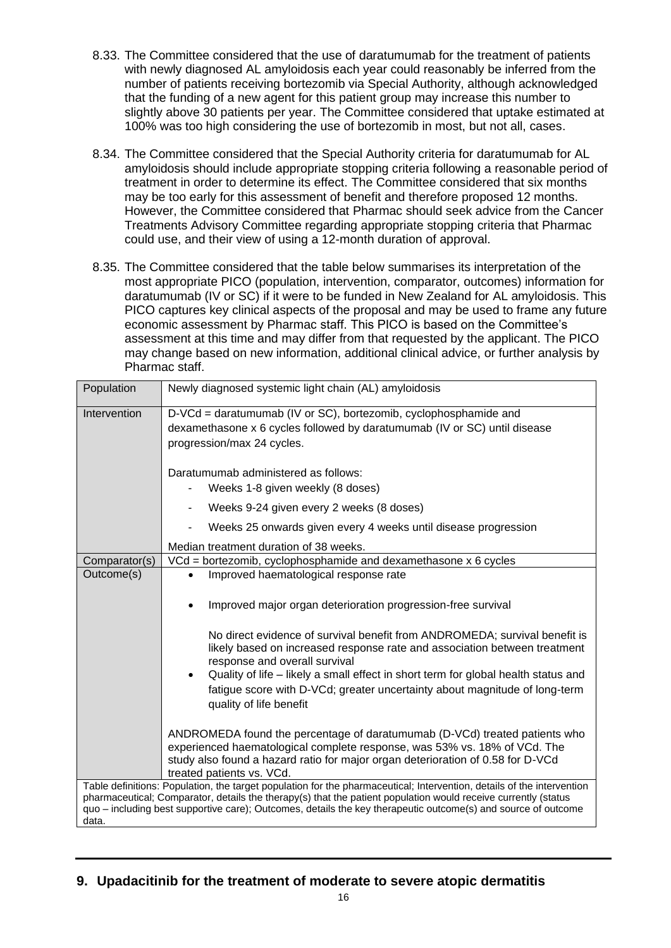- 8.33. The Committee considered that the use of daratumumab for the treatment of patients with newly diagnosed AL amyloidosis each year could reasonably be inferred from the number of patients receiving bortezomib via Special Authority, although acknowledged that the funding of a new agent for this patient group may increase this number to slightly above 30 patients per year. The Committee considered that uptake estimated at 100% was too high considering the use of bortezomib in most, but not all, cases.
- 8.34. The Committee considered that the Special Authority criteria for daratumumab for AL amyloidosis should include appropriate stopping criteria following a reasonable period of treatment in order to determine its effect. The Committee considered that six months may be too early for this assessment of benefit and therefore proposed 12 months. However, the Committee considered that Pharmac should seek advice from the Cancer Treatments Advisory Committee regarding appropriate stopping criteria that Pharmac could use, and their view of using a 12-month duration of approval.
- 8.35. The Committee considered that the table below summarises its interpretation of the most appropriate PICO (population, intervention, comparator, outcomes) information for daratumumab (IV or SC) if it were to be funded in New Zealand for AL amyloidosis. This PICO captures key clinical aspects of the proposal and may be used to frame any future economic assessment by Pharmac staff. This PICO is based on the Committee's assessment at this time and may differ from that requested by the applicant. The PICO may change based on new information, additional clinical advice, or further analysis by Pharmac staff.

| Population                                                                                                                                                                                                                                                                                                                                                         | Newly diagnosed systemic light chain (AL) amyloidosis                                                                                                                                                                                                                   |  |  |  |
|--------------------------------------------------------------------------------------------------------------------------------------------------------------------------------------------------------------------------------------------------------------------------------------------------------------------------------------------------------------------|-------------------------------------------------------------------------------------------------------------------------------------------------------------------------------------------------------------------------------------------------------------------------|--|--|--|
| Intervention                                                                                                                                                                                                                                                                                                                                                       | D-VCd = daratumumab (IV or SC), bortezomib, cyclophosphamide and<br>dexamethasone x 6 cycles followed by daratumumab (IV or SC) until disease<br>progression/max 24 cycles.                                                                                             |  |  |  |
|                                                                                                                                                                                                                                                                                                                                                                    | Daratumumab administered as follows:<br>Weeks 1-8 given weekly (8 doses)                                                                                                                                                                                                |  |  |  |
|                                                                                                                                                                                                                                                                                                                                                                    | Weeks 9-24 given every 2 weeks (8 doses)                                                                                                                                                                                                                                |  |  |  |
|                                                                                                                                                                                                                                                                                                                                                                    | Weeks 25 onwards given every 4 weeks until disease progression                                                                                                                                                                                                          |  |  |  |
|                                                                                                                                                                                                                                                                                                                                                                    | Median treatment duration of 38 weeks.                                                                                                                                                                                                                                  |  |  |  |
| Comparator(s)                                                                                                                                                                                                                                                                                                                                                      | VCd = bortezomib, cyclophosphamide and dexamethasone x 6 cycles                                                                                                                                                                                                         |  |  |  |
| Outcome(s)                                                                                                                                                                                                                                                                                                                                                         | Improved haematological response rate<br>$\bullet$                                                                                                                                                                                                                      |  |  |  |
|                                                                                                                                                                                                                                                                                                                                                                    | Improved major organ deterioration progression-free survival                                                                                                                                                                                                            |  |  |  |
|                                                                                                                                                                                                                                                                                                                                                                    | No direct evidence of survival benefit from ANDROMEDA; survival benefit is<br>likely based on increased response rate and association between treatment<br>response and overall survival                                                                                |  |  |  |
|                                                                                                                                                                                                                                                                                                                                                                    | Quality of life - likely a small effect in short term for global health status and<br>fatigue score with D-VCd; greater uncertainty about magnitude of long-term<br>quality of life benefit                                                                             |  |  |  |
|                                                                                                                                                                                                                                                                                                                                                                    | ANDROMEDA found the percentage of daratumumab (D-VCd) treated patients who<br>experienced haematological complete response, was 53% vs. 18% of VCd. The<br>study also found a hazard ratio for major organ deterioration of 0.58 for D-VCd<br>treated patients vs. VCd. |  |  |  |
| Table definitions: Population, the target population for the pharmaceutical; Intervention, details of the intervention<br>pharmaceutical; Comparator, details the therapy(s) that the patient population would receive currently (status<br>quo – including best supportive care); Outcomes, details the key therapeutic outcome(s) and source of outcome<br>data. |                                                                                                                                                                                                                                                                         |  |  |  |

# <span id="page-15-0"></span>**9. Upadacitinib for the treatment of moderate to severe atopic dermatitis**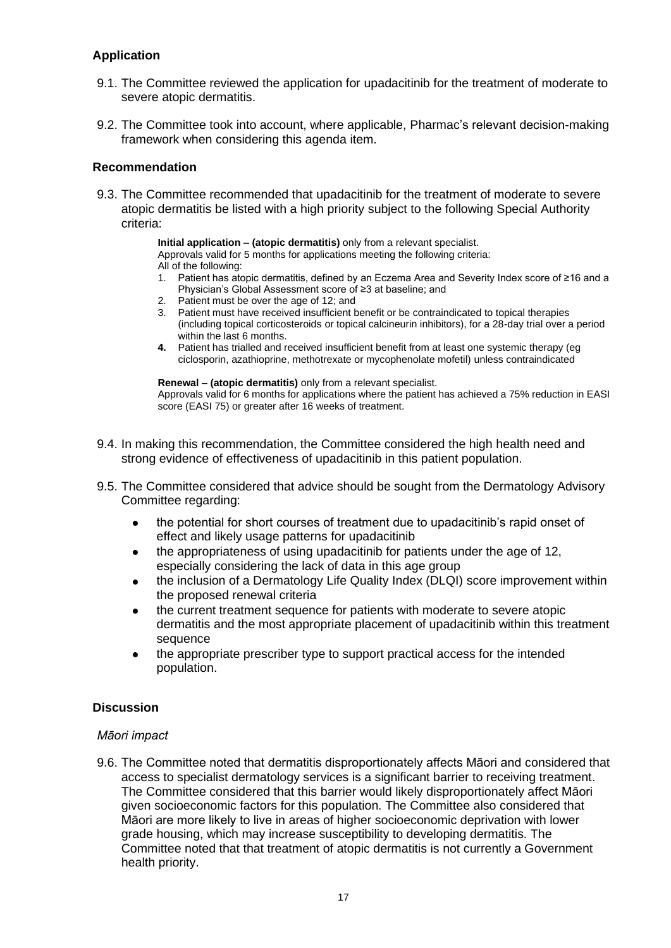# <span id="page-16-0"></span>**Application**

- 9.1. The Committee reviewed the application for upadacitinib for the treatment of moderate to severe atopic dermatitis.
- 9.2. The Committee took into account, where applicable, Pharmac's relevant decision-making framework when considering this agenda item.

# <span id="page-16-1"></span>**Recommendation**

9.3. The Committee recommended that upadacitinib for the treatment of moderate to severe atopic dermatitis be listed with a high priority subject to the following Special Authority criteria:

**Initial application – (atopic dermatitis)** only from a relevant specialist.

Approvals valid for 5 months for applications meeting the following criteria: All of the following:

- 1. Patient has atopic dermatitis, defined by an Eczema Area and Severity Index score of ≥16 and a Physician's Global Assessment score of ≥3 at baseline; and
- 2. Patient must be over the age of 12; and
- 3. Patient must have received insufficient benefit or be contraindicated to topical therapies (including topical corticosteroids or topical calcineurin inhibitors), for a 28-day trial over a period within the last 6 months.
- **4.** Patient has trialled and received insufficient benefit from at least one systemic therapy (eg ciclosporin, azathioprine, methotrexate or mycophenolate mofetil) unless contraindicated

**Renewal – (atopic dermatitis)** only from a relevant specialist. Approvals valid for 6 months for applications where the patient has achieved a 75% reduction in EASI score (EASI 75) or greater after 16 weeks of treatment.

- 9.4. In making this recommendation, the Committee considered the high health need and strong evidence of effectiveness of upadacitinib in this patient population.
- 9.5. The Committee considered that advice should be sought from the Dermatology Advisory Committee regarding:
	- the potential for short courses of treatment due to upadacitinib's rapid onset of effect and likely usage patterns for upadacitinib
	- the appropriateness of using upadacitinib for patients under the age of 12,  $\bullet$ especially considering the lack of data in this age group
	- the inclusion of a Dermatology Life Quality Index (DLQI) score improvement within the proposed renewal criteria
	- the current treatment sequence for patients with moderate to severe atopic dermatitis and the most appropriate placement of upadacitinib within this treatment sequence
	- the appropriate prescriber type to support practical access for the intended population.

# <span id="page-16-2"></span>**Discussion**

# *Māori impact*

9.6. The Committee noted that dermatitis disproportionately affects Māori and considered that access to specialist dermatology services is a significant barrier to receiving treatment. The Committee considered that this barrier would likely disproportionately affect Māori given socioeconomic factors for this population. The Committee also considered that Māori are more likely to live in areas of higher socioeconomic deprivation with lower grade housing, which may increase susceptibility to developing dermatitis. The Committee noted that that treatment of atopic dermatitis is not currently a Government health priority.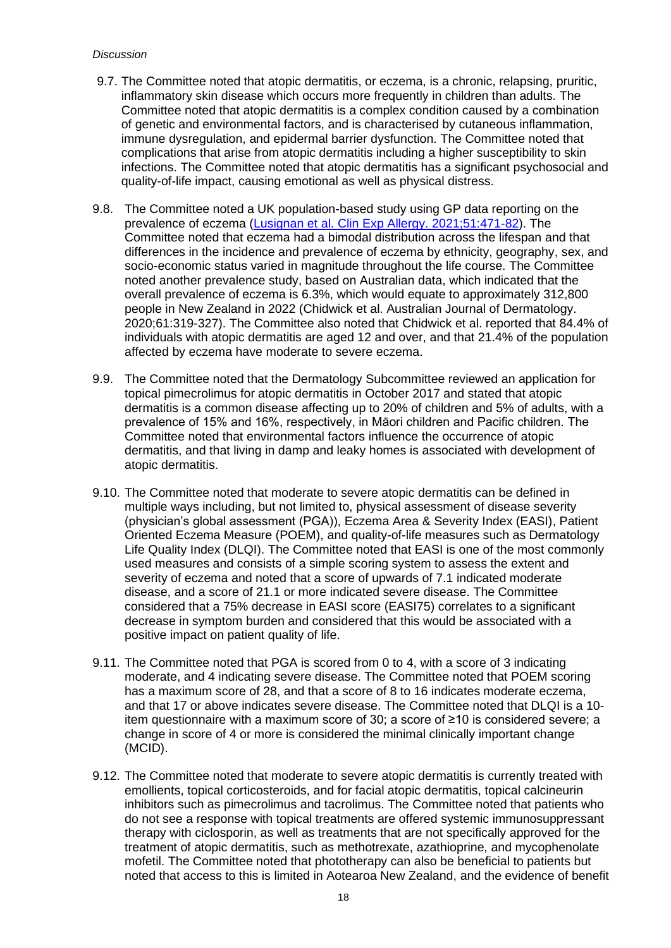- 9.7. The Committee noted that atopic dermatitis, or eczema, is a chronic, relapsing, pruritic, inflammatory skin disease which occurs more frequently in children than adults. The Committee noted that atopic dermatitis is a complex condition caused by a combination of genetic and environmental factors, and is characterised by cutaneous inflammation, immune dysregulation, and epidermal barrier dysfunction. The Committee noted that complications that arise from atopic dermatitis including a higher susceptibility to skin infections. The Committee noted that atopic dermatitis has a significant psychosocial and quality-of-life impact, causing emotional as well as physical distress.
- 9.8. The Committee noted a UK population-based study using GP data reporting on the prevalence of eczema [\(Lusignan et al. Clin Exp Allergy. 2021;51:471-82\)](https://pubmed.ncbi.nlm.nih.gov/33179341/). The Committee noted that eczema had a bimodal distribution across the lifespan and that differences in the incidence and prevalence of eczema by ethnicity, geography, sex, and socio-economic status varied in magnitude throughout the life course. The Committee noted another prevalence study, based on Australian data, which indicated that the overall prevalence of eczema is 6.3%, which would equate to approximately 312,800 people in New Zealand in 2022 [\(Chidwick et al. Australian Journal of Dermatology.](https://onlinelibrary.wiley.com/doi/full/10.1111/ajd.13268)  [2020;61:319-327\)](https://onlinelibrary.wiley.com/doi/full/10.1111/ajd.13268). The Committee also noted that Chidwick et al. reported that 84.4% of individuals with atopic dermatitis are aged 12 and over, and that 21.4% of the population affected by eczema have moderate to severe eczema.
- 9.9. The Committee noted that the Dermatology Subcommittee reviewed an application for topical pimecrolimus for atopic dermatitis in [October 2017](https://pharmac.govt.nz/assets/ptac-dermatology-subcommittee-minutes-2017-11.pdf) and stated that atopic dermatitis is a common disease affecting up to 20% of children and 5% of adults, with a prevalence of 15% and 16%, respectively, in Māori children and Pacific children. The Committee noted that environmental factors influence the occurrence of atopic dermatitis, and that living in damp and leaky homes is associated with development of atopic dermatitis.
- 9.10. The Committee noted that moderate to severe atopic dermatitis can be defined in multiple ways including, but not limited to, physical assessment of disease severity (physician's global assessment (PGA)), Eczema Area & Severity Index (EASI), Patient Oriented Eczema Measure (POEM), and quality-of-life measures such as Dermatology Life Quality Index (DLQI). The Committee noted that EASI is one of the most commonly used measures and consists of a simple scoring system to assess the extent and severity of eczema and noted that a score of upwards of 7.1 indicated moderate disease, and a score of 21.1 or more indicated severe disease. The Committee considered that a 75% decrease in EASI score (EASI75) correlates to a significant decrease in symptom burden and considered that this would be associated with a positive impact on patient quality of life.
- 9.11. The Committee noted that PGA is scored from 0 to 4, with a score of 3 indicating moderate, and 4 indicating severe disease. The Committee noted that POEM scoring has a maximum score of 28, and that a score of 8 to 16 indicates moderate eczema, and that 17 or above indicates severe disease. The Committee noted that DLQI is a 10 item questionnaire with a maximum score of 30; a score of ≥10 is considered severe; a change in score of 4 or more is considered the minimal clinically important change (MCID).
- 9.12. The Committee noted that moderate to severe atopic dermatitis is currently treated with emollients, topical corticosteroids, and for facial atopic dermatitis, topical calcineurin inhibitors such as pimecrolimus and tacrolimus. The Committee noted that patients who do not see a response with topical treatments are offered systemic immunosuppressant therapy with ciclosporin, as well as treatments that are not specifically approved for the treatment of atopic dermatitis, such as methotrexate, azathioprine, and mycophenolate mofetil. The Committee noted that phototherapy can also be beneficial to patients but noted that access to this is limited in Aotearoa New Zealand, and the evidence of benefit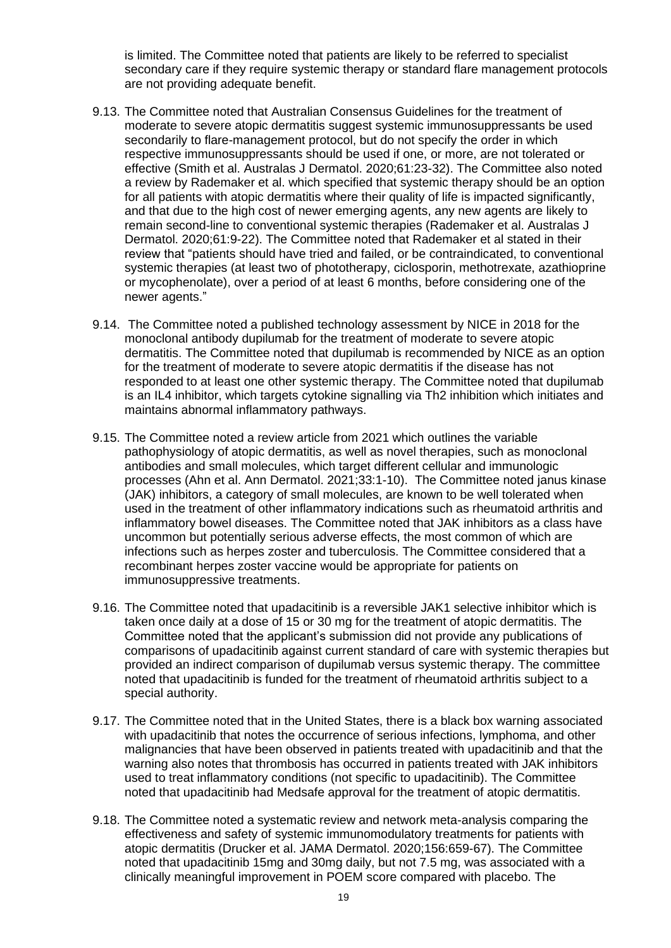is limited. The Committee noted that patients are likely to be referred to specialist secondary care if they require systemic therapy or standard flare management protocols are not providing adequate benefit.

- 9.13. The Committee noted that Australian Consensus Guidelines for the treatment of moderate to severe atopic dermatitis suggest systemic immunosuppressants be used secondarily to flare-management protocol, but do not specify the order in which respective immunosuppressants should be used if one, or more, are not tolerated or effective (Smith et al. [Australas J Dermatol. 2020;61:23-32\)](https://pubmed.ncbi.nlm.nih.gov/31372984/). The Committee also noted a review by Rademaker et al. which specified that systemic therapy should be an option for all patients with atopic dermatitis where their quality of life is impacted significantly, and that due to the high cost of newer emerging agents, any new agents are likely to remain second-line to conventional systemic therapies [\(Rademaker et al. Australas J](https://pubmed.ncbi.nlm.nih.gov/31529493/)  [Dermatol. 2020;61:9-22\)](https://pubmed.ncbi.nlm.nih.gov/31529493/). The Committee noted that Rademaker et al stated in their review that "patients should have tried and failed, or be contraindicated, to conventional systemic therapies (at least two of phototherapy, ciclosporin, methotrexate, azathioprine or mycophenolate), over a period of at least 6 months, before considering one of the newer agents."
- 9.14. The Committee noted a published technology assessment by [NICE in 2018](https://www.nice.org.uk/guidance/ta534) for the monoclonal antibody dupilumab for the treatment of moderate to severe atopic dermatitis. The Committee noted that dupilumab is recommended by NICE as an option for the treatment of moderate to severe atopic dermatitis if the disease has not responded to at least one other systemic therapy. The Committee noted that dupilumab is an IL4 inhibitor, which targets cytokine signalling via Th2 inhibition which initiates and maintains abnormal inflammatory pathways.
- 9.15. The Committee noted a review article from 2021 which outlines the variable pathophysiology of atopic dermatitis, as well as novel therapies, such as monoclonal antibodies and small molecules, which target different cellular and immunologic processes [\(Ahn et al. Ann Dermatol. 2021;33:1-10\)](https://pubmed.ncbi.nlm.nih.gov/33911806/). The Committee noted janus kinase (JAK) inhibitors, a category of small molecules, are known to be well tolerated when used in the treatment of other inflammatory indications such as rheumatoid arthritis and inflammatory bowel diseases. The Committee noted that JAK inhibitors as a class have uncommon but potentially serious adverse effects, the most common of which are infections such as herpes zoster and tuberculosis. The Committee considered that a recombinant herpes zoster vaccine would be appropriate for patients on immunosuppressive treatments.
- 9.16. The Committee noted that upadacitinib is a reversible JAK1 selective inhibitor which is taken once daily at a dose of 15 or 30 mg for the treatment of atopic dermatitis. The Committee noted that the applicant's submission did not provide any publications of comparisons of upadacitinib against current standard of care with systemic therapies but provided an indirect comparison of dupilumab versus systemic therapy. The committee noted that upadacitinib is funded for the treatment of rheumatoid arthritis subject to a special authority.
- 9.17. The Committee noted that in the United States, there is a black box warning associated with upadacitinib that notes the occurrence of serious infections, lymphoma, and other malignancies that have been observed in patients treated with upadacitinib and that the warning also notes that thrombosis has occurred in patients treated with JAK inhibitors used to treat inflammatory conditions (not specific to upadacitinib). The Committee noted that upadacitinib had Medsafe approval for the treatment of atopic dermatitis.
- 9.18. The Committee noted a systematic review and network meta-analysis comparing the effectiveness and safety of systemic immunomodulatory treatments for patients with atopic dermatitis [\(Drucker et al. JAMA Dermatol. 2020;156:659-67\)](https://pubmed.ncbi.nlm.nih.gov/32320001/). The Committee noted that upadacitinib 15mg and 30mg daily, but not 7.5 mg, was associated with a clinically meaningful improvement in POEM score compared with placebo. The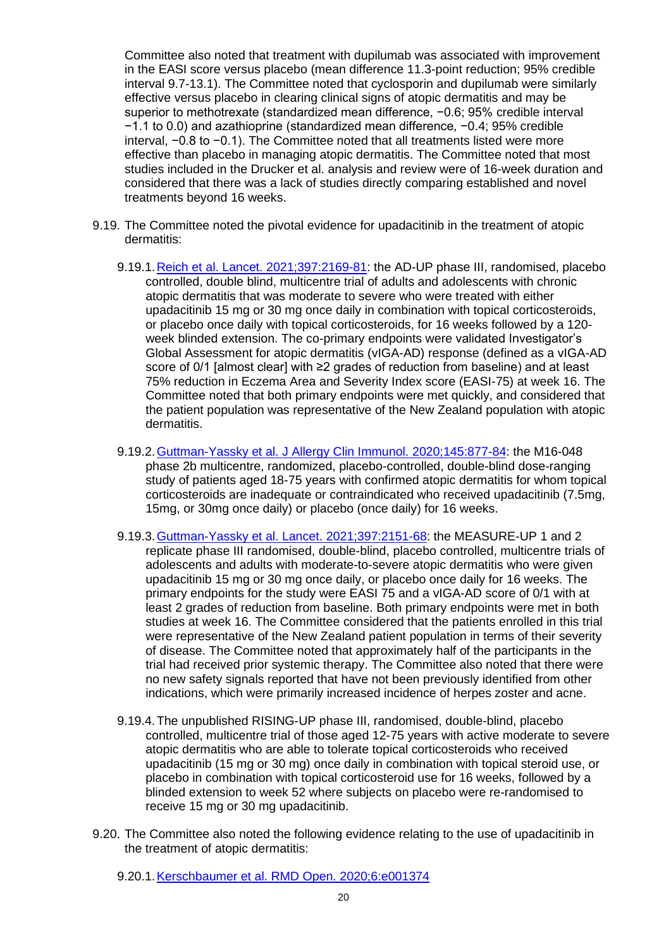Committee also noted that treatment with dupilumab was associated with improvement in the EASI score versus placebo (mean difference 11.3-point reduction; 95% credible interval 9.7-13.1). The Committee noted that cyclosporin and dupilumab were similarly effective versus placebo in clearing clinical signs of atopic dermatitis and may be superior to methotrexate (standardized mean difference, −0.6; 95% credible interval −1.1 to 0.0) and azathioprine (standardized mean difference, −0.4; 95% credible interval, −0.8 to −0.1). The Committee noted that all treatments listed were more effective than placebo in managing atopic dermatitis. The Committee noted that most studies included in the Drucker et al. analysis and review were of 16-week duration and considered that there was a lack of studies directly comparing established and novel treatments beyond 16 weeks.

- 9.19. The Committee noted the pivotal evidence for upadacitinib in the treatment of atopic dermatitis:
	- 9.19.1[.Reich et al. Lancet. 2021;397:2169-81:](https://pubmed.ncbi.nlm.nih.gov/34023009/) the AD-UP phase III, randomised, placebo controlled, double blind, multicentre trial of adults and adolescents with chronic atopic dermatitis that was moderate to severe who were treated with either upadacitinib 15 mg or 30 mg once daily in combination with topical corticosteroids, or placebo once daily with topical corticosteroids, for 16 weeks followed by a 120 week blinded extension. The co-primary endpoints were validated Investigator's Global Assessment for atopic dermatitis (vIGA-AD) response (defined as a vIGA-AD score of 0/1 [almost clear] with ≥2 grades of reduction from baseline) and at least 75% reduction in Eczema Area and Severity Index score (EASI-75) at week 16. The Committee noted that both primary endpoints were met quickly, and considered that the patient population was representative of the New Zealand population with atopic dermatitis.
	- 9.19.2[.Guttman-Yassky et al. J Allergy Clin Immunol. 2020;145:877-84:](https://pubmed.ncbi.nlm.nih.gov/31786154/) the M16-048 phase 2b multicentre, randomized, placebo-controlled, double-blind dose-ranging study of patients aged 18-75 years with confirmed atopic dermatitis for whom topical corticosteroids are inadequate or contraindicated who received upadacitinib (7.5mg, 15mg, or 30mg once daily) or placebo (once daily) for 16 weeks.
	- 9.19.3[.Guttman-Yassky et al. Lancet. 2021;397:2151-68:](https://pubmed.ncbi.nlm.nih.gov/34023008/) the MEASURE-UP 1 and 2 replicate phase III randomised, double-blind, placebo controlled, multicentre trials of adolescents and adults with moderate-to-severe atopic dermatitis who were given upadacitinib 15 mg or 30 mg once daily, or placebo once daily for 16 weeks. The primary endpoints for the study were EASI 75 and a vIGA-AD score of 0/1 with at least 2 grades of reduction from baseline. Both primary endpoints were met in both studies at week 16. The Committee considered that the patients enrolled in this trial were representative of the New Zealand patient population in terms of their severity of disease. The Committee noted that approximately half of the participants in the trial had received prior systemic therapy. The Committee also noted that there were no new safety signals reported that have not been previously identified from other indications, which were primarily increased incidence of herpes zoster and acne.
	- 9.19.4.The unpublished RISING-UP phase III, randomised, double-blind, placebo controlled, multicentre trial of those aged 12-75 years with active moderate to severe atopic dermatitis who are able to tolerate topical corticosteroids who received upadacitinib (15 mg or 30 mg) once daily in combination with topical steroid use, or placebo in combination with topical corticosteroid use for 16 weeks, followed by a blinded extension to week 52 where subjects on placebo were re-randomised to receive 15 mg or 30 mg upadacitinib.
- 9.20. The Committee also noted the following evidence relating to the use of upadacitinib in the treatment of atopic dermatitis:

<sup>9.20.1</sup>[.Kerschbaumer et al. RMD Open. 2020;6:e001374](https://pubmed.ncbi.nlm.nih.gov/33188136/)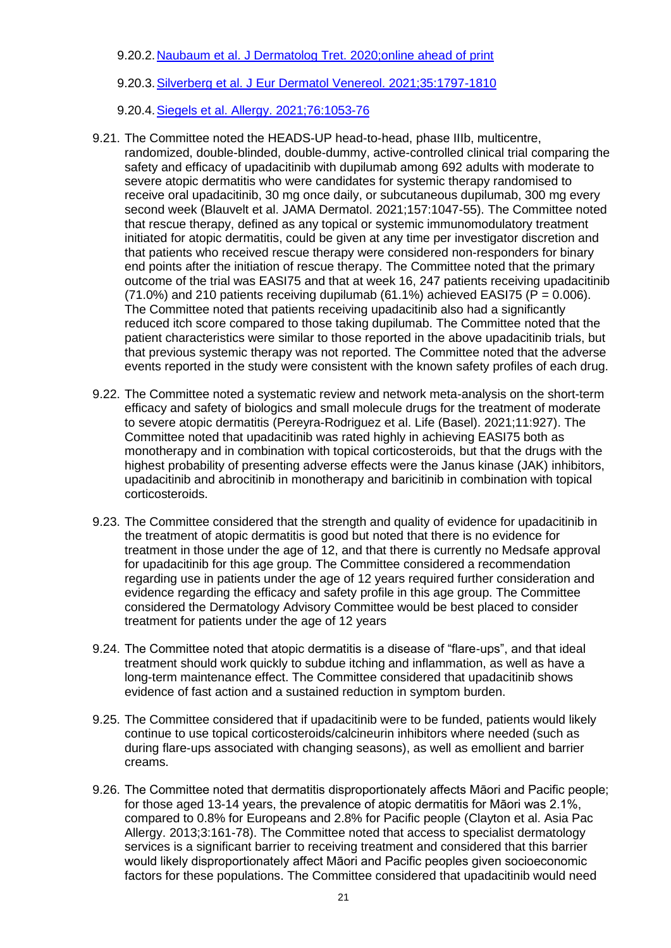9.20.2[.Naubaum et al. J Dermatolog Tret. 2020;online ahead of print](https://pubmed.ncbi.nlm.nih.gov/33143506/)

9.20.3[.Silverberg et al. J Eur Dermatol Venereol. 2021;35:1797-1810](https://pubmed.ncbi.nlm.nih.gov/33991374/)

- 9.20.4[.Siegels et al. Allergy. 2021;76:1053-76](https://pubmed.ncbi.nlm.nih.gov/33074565/)
- 9.21. The Committee noted the HEADS-UP head-to-head, phase IIIb, multicentre, randomized, double-blinded, double-dummy, active-controlled clinical trial comparing the safety and efficacy of upadacitinib with dupilumab among 692 adults with moderate to severe atopic dermatitis who were candidates for systemic therapy randomised to receive oral upadacitinib, 30 mg once daily, or subcutaneous dupilumab, 300 mg every second week [\(Blauvelt et al. JAMA Dermatol. 2021;157:1047-55\)](https://pubmed.ncbi.nlm.nih.gov/34347860/). The Committee noted that rescue therapy, defined as any topical or systemic immunomodulatory treatment initiated for atopic dermatitis, could be given at any time per investigator discretion and that patients who received rescue therapy were considered non-responders for binary end points after the initiation of rescue therapy. The Committee noted that the primary outcome of the trial was EASI75 and that at week 16, 247 patients receiving upadacitinib  $(71.0\%)$  and 210 patients receiving dupilumab  $(61.1\%)$  achieved EASI75 (P = 0.006). The Committee noted that patients receiving upadacitinib also had a significantly reduced itch score compared to those taking dupilumab. The Committee noted that the patient characteristics were similar to those reported in the above upadacitinib trials, but that previous systemic therapy was not reported. The Committee noted that the adverse events reported in the study were consistent with the known safety profiles of each drug.
- 9.22. The Committee noted a systematic review and network meta-analysis on the short-term efficacy and safety of biologics and small molecule drugs for the treatment of moderate to severe atopic dermatitis [\(Pereyra-Rodriguez et al. Life \(Basel\). 2021;11:927\)](https://pubmed.ncbi.nlm.nih.gov/34575076/). The Committee noted that upadacitinib was rated highly in achieving EASI75 both as monotherapy and in combination with topical corticosteroids, but that the drugs with the highest probability of presenting adverse effects were the Janus kinase (JAK) inhibitors, upadacitinib and abrocitinib in monotherapy and baricitinib in combination with topical corticosteroids.
- 9.23. The Committee considered that the strength and quality of evidence for upadacitinib in the treatment of atopic dermatitis is good but noted that there is no evidence for treatment in those under the age of 12, and that there is currently no Medsafe approval for upadacitinib for this age group. The Committee considered a recommendation regarding use in patients under the age of 12 years required further consideration and evidence regarding the efficacy and safety profile in this age group. The Committee considered the Dermatology Advisory Committee would be best placed to consider treatment for patients under the age of 12 years
- 9.24. The Committee noted that atopic dermatitis is a disease of "flare-ups", and that ideal treatment should work quickly to subdue itching and inflammation, as well as have a long-term maintenance effect. The Committee considered that upadacitinib shows evidence of fast action and a sustained reduction in symptom burden.
- 9.25. The Committee considered that if upadacitinib were to be funded, patients would likely continue to use topical corticosteroids/calcineurin inhibitors where needed (such as during flare-ups associated with changing seasons), as well as emollient and barrier creams.
- 9.26. The Committee noted that dermatitis disproportionately affects Māori and Pacific people; for those aged 13-14 years, the prevalence of atopic dermatitis for Māori was 2.1%, compared to 0.8% for Europeans and 2.8% for Pacific people [\(Clayton et al. Asia Pac](https://pubmed.ncbi.nlm.nih.gov/23956963/)  [Allergy. 2013;3:161-78\)](https://pubmed.ncbi.nlm.nih.gov/23956963/). The Committee noted that access to specialist dermatology services is a significant barrier to receiving treatment and considered that this barrier would likely disproportionately affect Māori and Pacific peoples given socioeconomic factors for these populations. The Committee considered that upadacitinib would need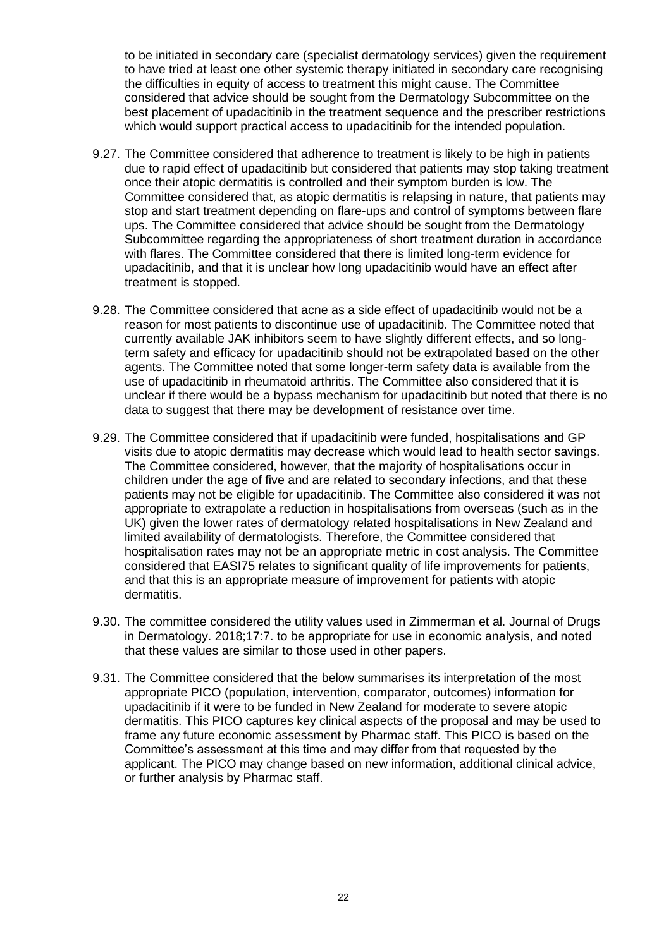to be initiated in secondary care (specialist dermatology services) given the requirement to have tried at least one other systemic therapy initiated in secondary care recognising the difficulties in equity of access to treatment this might cause. The Committee considered that advice should be sought from the Dermatology Subcommittee on the best placement of upadacitinib in the treatment sequence and the prescriber restrictions which would support practical access to upadacitinib for the intended population.

- 9.27. The Committee considered that adherence to treatment is likely to be high in patients due to rapid effect of upadacitinib but considered that patients may stop taking treatment once their atopic dermatitis is controlled and their symptom burden is low. The Committee considered that, as atopic dermatitis is relapsing in nature, that patients may stop and start treatment depending on flare-ups and control of symptoms between flare ups. The Committee considered that advice should be sought from the Dermatology Subcommittee regarding the appropriateness of short treatment duration in accordance with flares. The Committee considered that there is limited long-term evidence for upadacitinib, and that it is unclear how long upadacitinib would have an effect after treatment is stopped.
- 9.28. The Committee considered that acne as a side effect of upadacitinib would not be a reason for most patients to discontinue use of upadacitinib. The Committee noted that currently available JAK inhibitors seem to have slightly different effects, and so longterm safety and efficacy for upadacitinib should not be extrapolated based on the other agents. The Committee noted that some longer-term safety data is available from the use of upadacitinib in rheumatoid arthritis. The Committee also considered that it is unclear if there would be a bypass mechanism for upadacitinib but noted that there is no data to suggest that there may be development of resistance over time.
- 9.29. The Committee considered that if upadacitinib were funded, hospitalisations and GP visits due to atopic dermatitis may decrease which would lead to health sector savings. The Committee considered, however, that the majority of hospitalisations occur in children under the age of five and are related to secondary infections, and that these patients may not be eligible for upadacitinib. The Committee also considered it was not appropriate to extrapolate a reduction in hospitalisations from overseas (such as in the UK) given the lower rates of dermatology related hospitalisations in New Zealand and limited availability of dermatologists. Therefore, the Committee considered that hospitalisation rates may not be an appropriate metric in cost analysis. The Committee considered that EASI75 relates to significant quality of life improvements for patients, and that this is an appropriate measure of improvement for patients with atopic dermatitis.
- 9.30. The committee considered the utility values used in [Zimmerman et al. Journal of Drugs](https://icer.org/wp-content/uploads/2020/10/Zimmermann-2018_AD.pdf)  [in Dermatology. 2018;17:7.](https://icer.org/wp-content/uploads/2020/10/Zimmermann-2018_AD.pdf) to be appropriate for use in economic analysis, and noted that these values are similar to those used in other papers.
- 9.31. The Committee considered that the below summarises its interpretation of the most appropriate PICO (population, intervention, comparator, outcomes) information for upadacitinib if it were to be funded in New Zealand for moderate to severe atopic dermatitis. This PICO captures key clinical aspects of the proposal and may be used to frame any future economic assessment by Pharmac staff. This PICO is based on the Committee's assessment at this time and may differ from that requested by the applicant. The PICO may change based on new information, additional clinical advice, or further analysis by Pharmac staff.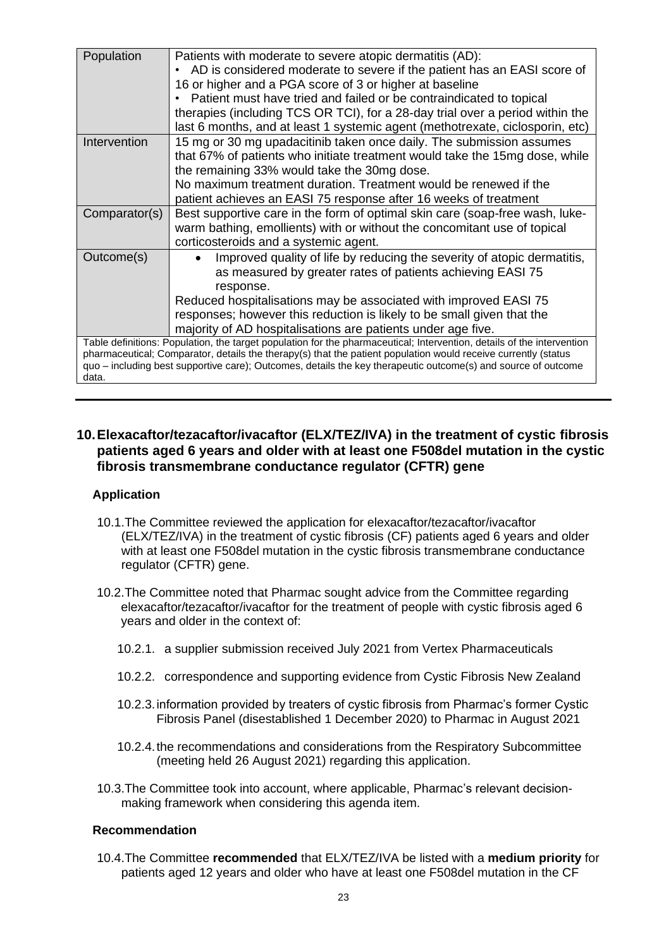| Population                                                                                                                                                                                                                                                                                                                                                         | Patients with moderate to severe atopic dermatitis (AD):<br>AD is considered moderate to severe if the patient has an EASI score of<br>16 or higher and a PGA score of 3 or higher at baseline<br>Patient must have tried and failed or be contraindicated to topical<br>therapies (including TCS OR TCI), for a 28-day trial over a period within the<br>last 6 months, and at least 1 systemic agent (methotrexate, ciclosporin, etc) |  |  |
|--------------------------------------------------------------------------------------------------------------------------------------------------------------------------------------------------------------------------------------------------------------------------------------------------------------------------------------------------------------------|-----------------------------------------------------------------------------------------------------------------------------------------------------------------------------------------------------------------------------------------------------------------------------------------------------------------------------------------------------------------------------------------------------------------------------------------|--|--|
| Intervention                                                                                                                                                                                                                                                                                                                                                       | 15 mg or 30 mg upadacitinib taken once daily. The submission assumes<br>that 67% of patients who initiate treatment would take the 15mg dose, while<br>the remaining 33% would take the 30mg dose.<br>No maximum treatment duration. Treatment would be renewed if the<br>patient achieves an EASI 75 response after 16 weeks of treatment                                                                                              |  |  |
| Comparator(s)                                                                                                                                                                                                                                                                                                                                                      | Best supportive care in the form of optimal skin care (soap-free wash, luke-<br>warm bathing, emollients) with or without the concomitant use of topical<br>corticosteroids and a systemic agent.                                                                                                                                                                                                                                       |  |  |
| Outcome(s)                                                                                                                                                                                                                                                                                                                                                         | Improved quality of life by reducing the severity of atopic dermatitis,<br>as measured by greater rates of patients achieving EASI 75<br>response.<br>Reduced hospitalisations may be associated with improved EASI 75<br>responses; however this reduction is likely to be small given that the<br>majority of AD hospitalisations are patients under age five.                                                                        |  |  |
| Table definitions: Population, the target population for the pharmaceutical; Intervention, details of the intervention<br>pharmaceutical; Comparator, details the therapy(s) that the patient population would receive currently (status<br>quo - including best supportive care); Outcomes, details the key therapeutic outcome(s) and source of outcome<br>data. |                                                                                                                                                                                                                                                                                                                                                                                                                                         |  |  |

# <span id="page-22-0"></span>**10.Elexacaftor/tezacaftor/ivacaftor (ELX/TEZ/IVA) in the treatment of cystic fibrosis patients aged 6 years and older with at least one F508del mutation in the cystic fibrosis transmembrane conductance regulator (CFTR) gene**

# <span id="page-22-1"></span>**Application**

- 10.1.The Committee reviewed the application for elexacaftor/tezacaftor/ivacaftor (ELX/TEZ/IVA) in the treatment of cystic fibrosis (CF) patients aged 6 years and older with at least one F508del mutation in the cystic fibrosis transmembrane conductance regulator (CFTR) gene.
- 10.2.The Committee noted that Pharmac sought advice from the Committee regarding elexacaftor/tezacaftor/ivacaftor for the treatment of people with cystic fibrosis aged 6 years and older in the context of:
	- 10.2.1. a supplier submission received July 2021 from Vertex Pharmaceuticals
	- 10.2.2. correspondence and supporting evidence from Cystic Fibrosis New Zealand
	- 10.2.3.information provided by treaters of cystic fibrosis from Pharmac's former Cystic Fibrosis Panel (disestablished 1 December 2020) to Pharmac in August 2021
	- 10.2.4.the recommendations and considerations from the Respiratory Subcommittee (meeting held 26 August 2021) regarding this application.
- 10.3.The Committee took into account, where applicable, Pharmac's relevant decisionmaking framework when considering this agenda item.

#### <span id="page-22-2"></span>**Recommendation**

10.4.The Committee **recommended** that ELX/TEZ/IVA be listed with a **medium priority** for patients aged 12 years and older who have at least one F508del mutation in the CF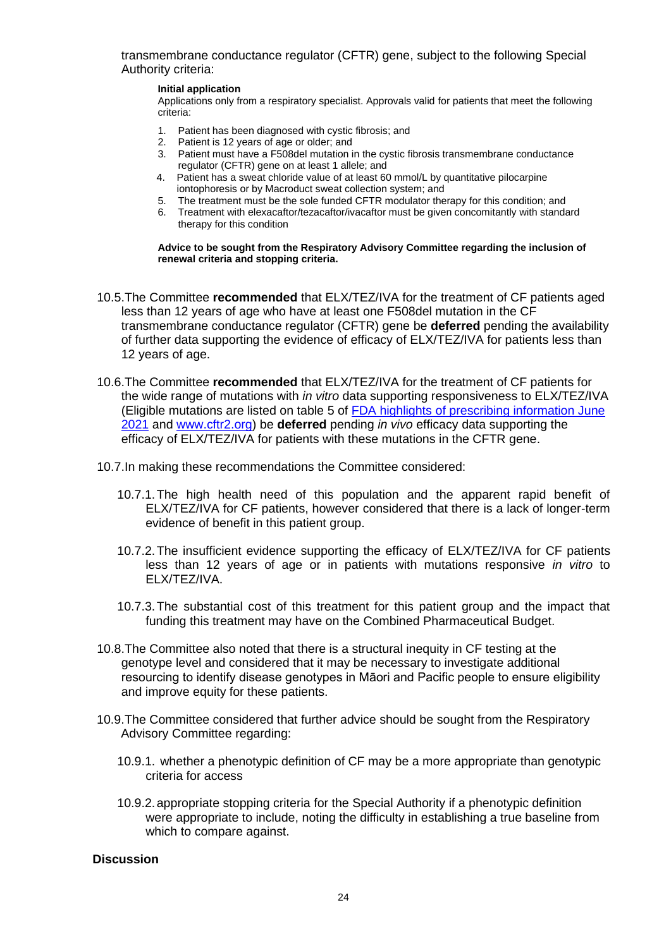transmembrane conductance regulator (CFTR) gene, subject to the following Special Authority criteria:

#### **Initial application**

Applications only from a respiratory specialist. Approvals valid for patients that meet the following criteria:

- 1. Patient has been diagnosed with cystic fibrosis; and
- 2. Patient is 12 years of age or older; and
- 3. Patient must have a F508del mutation in the cystic fibrosis transmembrane conductance regulator (CFTR) gene on at least 1 allele; and
- 4. Patient has a sweat chloride value of at least 60 mmol/L by quantitative pilocarpine iontophoresis or by Macroduct sweat collection system; and
- 5. The treatment must be the sole funded CFTR modulator therapy for this condition; and
- 6. Treatment with elexacaftor/tezacaftor/ivacaftor must be given concomitantly with standard therapy for this condition

**Advice to be sought from the Respiratory Advisory Committee regarding the inclusion of renewal criteria and stopping criteria.**

- 10.5.The Committee **recommended** that ELX/TEZ/IVA for the treatment of CF patients aged less than 12 years of age who have at least one F508del mutation in the CF transmembrane conductance regulator (CFTR) gene be **deferred** pending the availability of further data supporting the evidence of efficacy of ELX/TEZ/IVA for patients less than 12 years of age.
- 10.6.The Committee **recommended** that ELX/TEZ/IVA for the treatment of CF patients for the wide range of mutations with *in vitro* data supporting responsiveness to ELX/TEZ/IVA (Eligible mutations are listed on table 5 of [FDA highlights of prescribing information June](https://www.accessdata.fda.gov/drugsatfda_docs/label/2021/212273s004lbl.pdf)  [2021](https://www.accessdata.fda.gov/drugsatfda_docs/label/2021/212273s004lbl.pdf) and [www.cftr2.org\)](http://www.cftr2.org/) be **deferred** pending *in vivo* efficacy data supporting the efficacy of ELX/TEZ/IVA for patients with these mutations in the CFTR gene.
- 10.7.In making these recommendations the Committee considered:
	- 10.7.1.The high health need of this population and the apparent rapid benefit of ELX/TEZ/IVA for CF patients, however considered that there is a lack of longer-term evidence of benefit in this patient group.
	- 10.7.2.The insufficient evidence supporting the efficacy of ELX/TEZ/IVA for CF patients less than 12 years of age or in patients with mutations responsive *in vitro* to ELX/TEZ/IVA.
	- 10.7.3.The substantial cost of this treatment for this patient group and the impact that funding this treatment may have on the Combined Pharmaceutical Budget.
- 10.8.The Committee also noted that there is a structural inequity in CF testing at the genotype level and considered that it may be necessary to investigate additional resourcing to identify disease genotypes in Māori and Pacific people to ensure eligibility and improve equity for these patients.
- <span id="page-23-0"></span>10.9.The Committee considered that further advice should be sought from the Respiratory Advisory Committee regarding:
	- 10.9.1. whether a phenotypic definition of CF may be a more appropriate than genotypic criteria for access
	- 10.9.2.appropriate stopping criteria for the Special Authority if a phenotypic definition were appropriate to include, noting the difficulty in establishing a true baseline from which to compare against.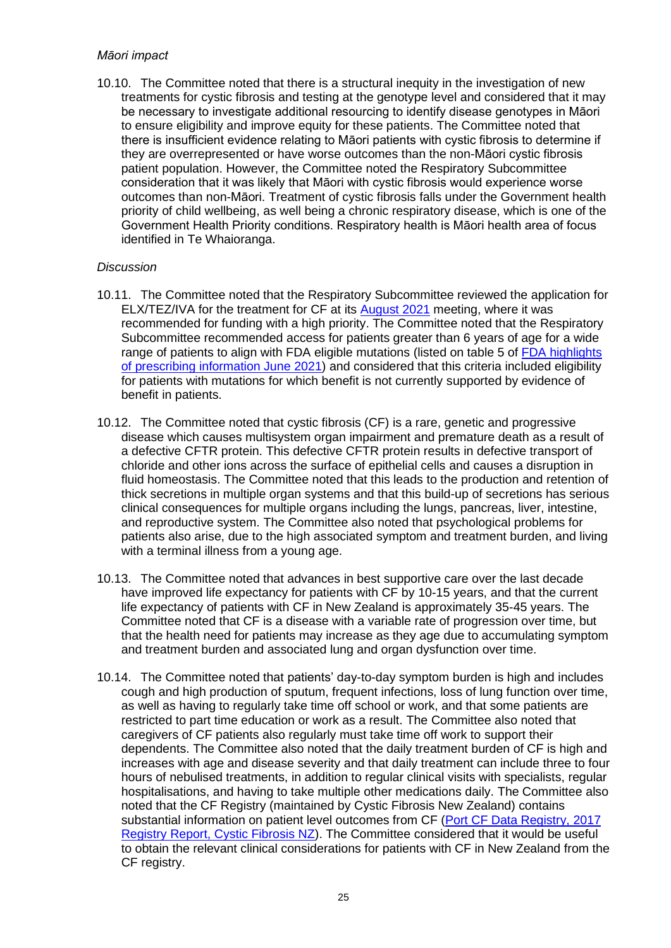# *Māori impact*

10.10. The Committee noted that there is a structural inequity in the investigation of new treatments for cystic fibrosis and testing at the genotype level and considered that it may be necessary to investigate additional resourcing to identify disease genotypes in Māori to ensure eligibility and improve equity for these patients. The Committee noted that there is insufficient evidence relating to Māori patients with cystic fibrosis to determine if they are overrepresented or have worse outcomes than the non-Māori cystic fibrosis patient population. However, the Committee noted the Respiratory Subcommittee consideration that it was likely that Māori with cystic fibrosis would experience worse outcomes than non-Māori. Treatment of cystic fibrosis falls under the Government health priority of child wellbeing, as well being a chronic respiratory disease, which is one of the Government Health Priority conditions. Respiratory health is Māori health area of focus identified in Te Whaioranga.

- 10.11. The Committee noted that the Respiratory Subcommittee reviewed the application for ELX/TEZ/IVA for the treatment for CF at its [August 2021](https://pharmac.govt.nz/assets/2021-08-26-Respiratory-Subcommittee-record-.pdf) meeting, where it was recommended for funding with a high priority. The Committee noted that the Respiratory Subcommittee recommended access for patients greater than 6 years of age for a wide range of patients to align with FDA eligible mutations (listed on table 5 of [FDA highlights](https://www.accessdata.fda.gov/drugsatfda_docs/label/2021/212273s004lbl.pdf)  [of prescribing information June 2021\)](https://www.accessdata.fda.gov/drugsatfda_docs/label/2021/212273s004lbl.pdf) and considered that this criteria included eligibility for patients with mutations for which benefit is not currently supported by evidence of benefit in patients.
- 10.12. The Committee noted that cystic fibrosis (CF) is a rare, genetic and progressive disease which causes multisystem organ impairment and premature death as a result of a defective CFTR protein. This defective CFTR protein results in defective transport of chloride and other ions across the surface of epithelial cells and causes a disruption in fluid homeostasis. The Committee noted that this leads to the production and retention of thick secretions in multiple organ systems and that this build-up of secretions has serious clinical consequences for multiple organs including the lungs, pancreas, liver, intestine, and reproductive system. The Committee also noted that psychological problems for patients also arise, due to the high associated symptom and treatment burden, and living with a terminal illness from a young age.
- 10.13. The Committee noted that advances in best supportive care over the last decade have improved life expectancy for patients with CF by 10-15 years, and that the current life expectancy of patients with CF in New Zealand is approximately 35-45 years. The Committee noted that CF is a disease with a variable rate of progression over time, but that the health need for patients may increase as they age due to accumulating symptom and treatment burden and associated lung and organ dysfunction over time.
- 10.14. The Committee noted that patients' day-to-day symptom burden is high and includes cough and high production of sputum, frequent infections, loss of lung function over time, as well as having to regularly take time off school or work, and that some patients are restricted to part time education or work as a result. The Committee also noted that caregivers of CF patients also regularly must take time off work to support their dependents. The Committee also noted that the daily treatment burden of CF is high and increases with age and disease severity and that daily treatment can include three to four hours of nebulised treatments, in addition to regular clinical visits with specialists, regular hospitalisations, and having to take multiple other medications daily. The Committee also noted that the CF Registry (maintained by Cystic Fibrosis New Zealand) contains substantial information on patient level outcomes from CF [\(Port CF Data Registry, 2017](https://www.cfnz.org.nz/assets/Uploads/cf3fb19c08/Port-CF-2017-NZ-CF-Data-Registry-1-v2.1.pdf)  [Registry Report, Cystic Fibrosis NZ\)](https://www.cfnz.org.nz/assets/Uploads/cf3fb19c08/Port-CF-2017-NZ-CF-Data-Registry-1-v2.1.pdf). The Committee considered that it would be useful to obtain the relevant clinical considerations for patients with CF in New Zealand from the CF registry.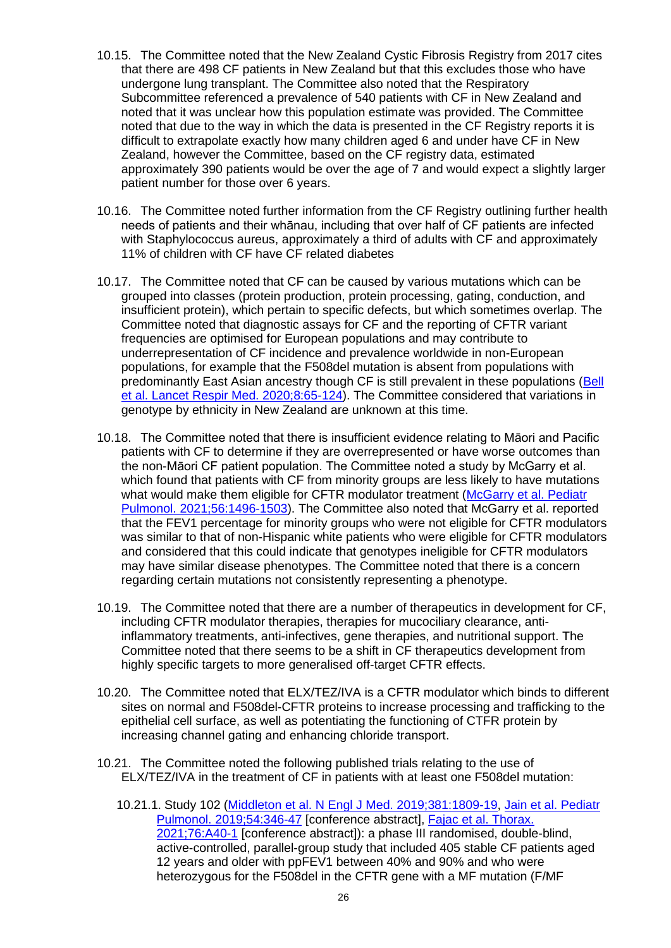- 10.15. The Committee noted that the New Zealand Cystic Fibrosis Registry from 2017 cites that there are 498 CF patients in New Zealand but that this excludes those who have undergone lung transplant. The Committee also noted that the Respiratory Subcommittee referenced a prevalence of 540 patients with CF in New Zealand and noted that it was unclear how this population estimate was provided. The Committee noted that due to the way in which the data is presented in the CF Registry reports it is difficult to extrapolate exactly how many children aged 6 and under have CF in New Zealand, however the Committee, based on the CF registry data, estimated approximately 390 patients would be over the age of 7 and would expect a slightly larger patient number for those over 6 years.
- 10.16. The Committee noted further information from the CF Registry outlining further health needs of patients and their whānau, including that over half of CF patients are infected with Staphylococcus aureus, approximately a third of adults with CF and approximately 11% of children with CF have CF related diabetes
- 10.17. The Committee noted that CF can be caused by various mutations which can be grouped into classes (protein production, protein processing, gating, conduction, and insufficient protein), which pertain to specific defects, but which sometimes overlap. The Committee noted that diagnostic assays for CF and the reporting of CFTR variant frequencies are optimised for European populations and may contribute to underrepresentation of CF incidence and prevalence worldwide in non-European populations, for example that the F508del mutation is absent from populations with predominantly East Asian ancestry though CF is still prevalent in these populations [\(Bell](https://pubmed.ncbi.nlm.nih.gov/31570318/)  [et al. Lancet Respir Med. 2020;8:65-124\)](https://pubmed.ncbi.nlm.nih.gov/31570318/). The Committee considered that variations in genotype by ethnicity in New Zealand are unknown at this time.
- 10.18. The Committee noted that there is insufficient evidence relating to Māori and Pacific patients with CF to determine if they are overrepresented or have worse outcomes than the non-Māori CF patient population. The Committee noted a study by McGarry et al. which found that patients with CF from minority groups are less likely to have mutations what would make them eligible for CFTR modulator treatment (McGarry et al. Pediatr [Pulmonol. 2021;56:1496-1503\)](https://pubmed.ncbi.nlm.nih.gov/33470563/). The Committee also noted that McGarry et al. reported that the FEV1 percentage for minority groups who were not eligible for CFTR modulators was similar to that of non-Hispanic white patients who were eligible for CFTR modulators and considered that this could indicate that genotypes ineligible for CFTR modulators may have similar disease phenotypes. The Committee noted that there is a concern regarding certain mutations not consistently representing a phenotype.
- 10.19. The Committee noted that there are a number of therapeutics in development for CF, including CFTR modulator therapies, therapies for mucociliary clearance, antiinflammatory treatments, anti-infectives, gene therapies, and nutritional support. The Committee noted that there seems to be a shift in CF therapeutics development from highly specific targets to more generalised off-target CFTR effects.
- 10.20. The Committee noted that ELX/TEZ/IVA is a CFTR modulator which binds to different sites on normal and F508del-CFTR proteins to increase processing and trafficking to the epithelial cell surface, as well as potentiating the functioning of CTFR protein by increasing channel gating and enhancing chloride transport.
- 10.21. The Committee noted the following published trials relating to the use of ELX/TEZ/IVA in the treatment of CF in patients with at least one F508del mutation:
	- 10.21.1. Study 102 [\(Middleton et al. N Engl J Med. 2019;381:1809-19,](https://www.ncbi.nlm.nih.gov/pmc/articles/PMC7282384/) [Jain et al. Pediatr](https://www.cochranelibrary.com/central/doi/10.1002/central/CN-01987255/full)  [Pulmonol. 2019;54:346-47](https://www.cochranelibrary.com/central/doi/10.1002/central/CN-01987255/full) [conference abstract], [Fajac et al. Thorax.](https://thorax.bmj.com/content/76/Suppl_1/A40.2)  [2021;76:A40-1](https://thorax.bmj.com/content/76/Suppl_1/A40.2) [conference abstract]): a phase III randomised, double-blind, active-controlled, parallel-group study that included 405 stable CF patients aged 12 years and older with ppFEV1 between 40% and 90% and who were heterozygous for the F508del in the CFTR gene with a MF mutation (F/MF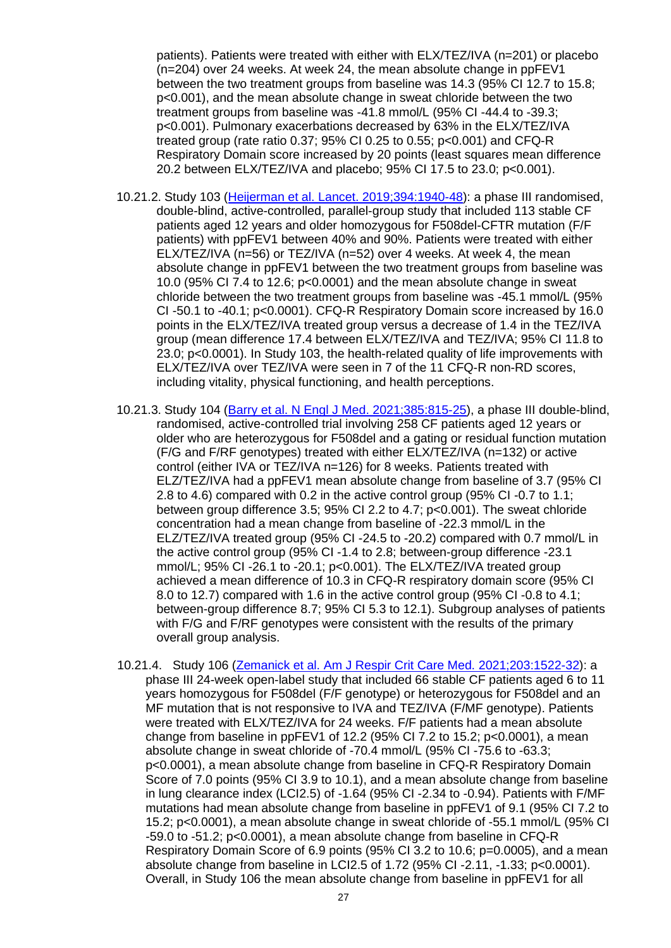patients). Patients were treated with either with ELX/TEZ/IVA (n=201) or placebo (n=204) over 24 weeks. At week 24, the mean absolute change in ppFEV1 between the two treatment groups from baseline was 14.3 (95% CI 12.7 to 15.8; p<0.001), and the mean absolute change in sweat chloride between the two treatment groups from baseline was -41.8 mmol/L (95% CI -44.4 to -39.3; p<0.001). Pulmonary exacerbations decreased by 63% in the ELX/TEZ/IVA treated group (rate ratio 0.37; 95% CI 0.25 to 0.55; p<0.001) and CFQ-R Respiratory Domain score increased by 20 points (least squares mean difference 20.2 between ELX/TEZ/IVA and placebo; 95% CI 17.5 to 23.0; p<0.001).

- 10.21.2. Study 103 [\(Heijerman et al. Lancet. 2019;394:1940-48\)](https://www.ncbi.nlm.nih.gov/pmc/articles/PMC7571408/): a phase III randomised, double-blind, active-controlled, parallel-group study that included 113 stable CF patients aged 12 years and older homozygous for F508del-CFTR mutation (F/F patients) with ppFEV1 between 40% and 90%. Patients were treated with either ELX/TEZ/IVA (n=56) or TEZ/IVA (n=52) over 4 weeks. At week 4, the mean absolute change in ppFEV1 between the two treatment groups from baseline was 10.0 (95% CI 7.4 to 12.6; p<0.0001) and the mean absolute change in sweat chloride between the two treatment groups from baseline was -45.1 mmol/L (95% CI -50.1 to -40.1; p<0.0001). CFQ-R Respiratory Domain score increased by 16.0 points in the ELX/TEZ/IVA treated group versus a decrease of 1.4 in the TEZ/IVA group (mean difference 17.4 between ELX/TEZ/IVA and TEZ/IVA; 95% CI 11.8 to 23.0; p<0.0001). In Study 103, the health-related quality of life improvements with ELX/TEZ/IVA over TEZ/IVA were seen in 7 of the 11 CFQ-R non-RD scores, including vitality, physical functioning, and health perceptions.
- 10.21.3. Study 104 [\(Barry et al. N Engl J Med. 2021;385:815-25\)](https://pubmed.ncbi.nlm.nih.gov/34437784/), a phase III double-blind, randomised, active-controlled trial involving 258 CF patients aged 12 years or older who are heterozygous for F508del and a gating or residual function mutation (F/G and F/RF genotypes) treated with either ELX/TEZ/IVA (n=132) or active control (either IVA or TEZ/IVA n=126) for 8 weeks. Patients treated with ELZ/TEZ/IVA had a ppFEV1 mean absolute change from baseline of 3.7 (95% CI 2.8 to 4.6) compared with 0.2 in the active control group (95% CI -0.7 to 1.1; between group difference 3.5; 95% CI 2.2 to 4.7; p<0.001). The sweat chloride concentration had a mean change from baseline of -22.3 mmol/L in the ELZ/TEZ/IVA treated group (95% CI -24.5 to -20.2) compared with 0.7 mmol/L in the active control group (95% CI -1.4 to 2.8; between-group difference -23.1 mmol/L; 95% CI -26.1 to -20.1; p<0.001). The ELX/TEZ/IVA treated group achieved a mean difference of 10.3 in CFQ-R respiratory domain score (95% CI 8.0 to 12.7) compared with 1.6 in the active control group (95% CI -0.8 to 4.1; between-group difference 8.7; 95% CI 5.3 to 12.1). Subgroup analyses of patients with F/G and F/RF genotypes were consistent with the results of the primary overall group analysis.
- 10.21.4. Study 106 [\(Zemanick et al. Am J Respir Crit Care Med. 2021;203:1522-32\)](https://www.atsjournals.org/doi/10.1164/rccm.202102-0509OC?url_ver=Z39.88-2003&rfr_id=ori%3Arid%3Acrossref.org&rfr_dat=cr_pub++0pubmed&): a phase III 24-week open-label study that included 66 stable CF patients aged 6 to 11 years homozygous for F508del (F/F genotype) or heterozygous for F508del and an MF mutation that is not responsive to IVA and TEZ/IVA (F/MF genotype). Patients were treated with ELX/TEZ/IVA for 24 weeks. F/F patients had a mean absolute change from baseline in ppFEV1 of 12.2 (95% CI 7.2 to 15.2;  $p < 0.0001$ ), a mean absolute change in sweat chloride of -70.4 mmol/L (95% CI -75.6 to -63.3; p<0.0001), a mean absolute change from baseline in CFQ-R Respiratory Domain Score of 7.0 points (95% CI 3.9 to 10.1), and a mean absolute change from baseline in lung clearance index (LCI2.5) of -1.64 (95% CI -2.34 to -0.94). Patients with F/MF mutations had mean absolute change from baseline in ppFEV1 of 9.1 (95% CI 7.2 to 15.2; p<0.0001), a mean absolute change in sweat chloride of -55.1 mmol/L (95% CI -59.0 to -51.2; p<0.0001), a mean absolute change from baseline in CFQ-R Respiratory Domain Score of 6.9 points (95% CI 3.2 to 10.6; p=0.0005), and a mean absolute change from baseline in LCI2.5 of 1.72 (95% CI -2.11, -1.33; p<0.0001). Overall, in Study 106 the mean absolute change from baseline in ppFEV1 for all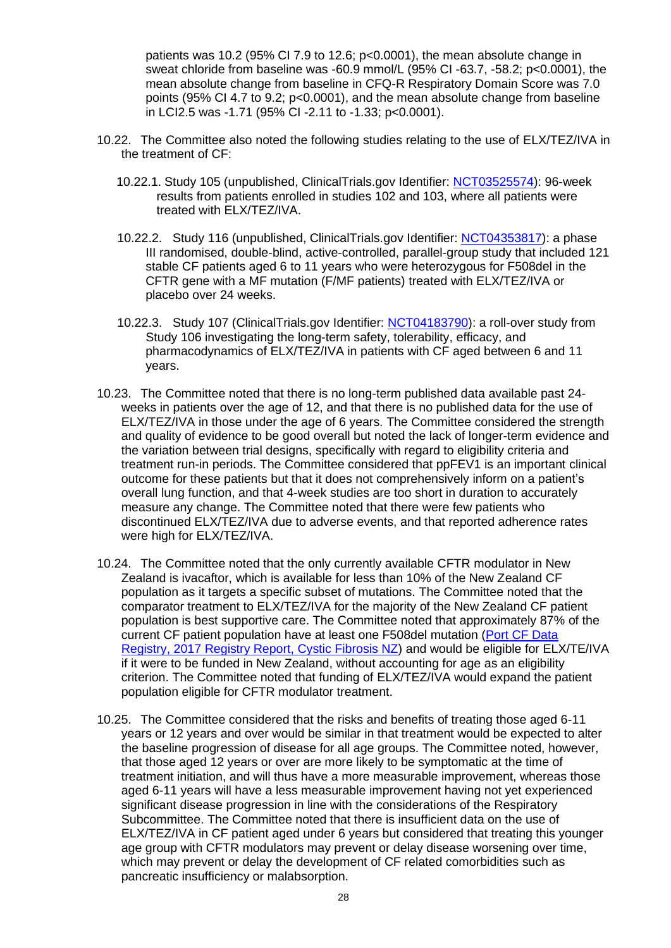patients was 10.2 (95% CI 7.9 to 12.6; p<0.0001), the mean absolute change in sweat chloride from baseline was -60.9 mmol/L (95% CI -63.7, -58.2; p<0.0001), the mean absolute change from baseline in CFQ-R Respiratory Domain Score was 7.0 points (95% CI 4.7 to 9.2; p<0.0001), and the mean absolute change from baseline in LCI2.5 was -1.71 (95% CI -2.11 to -1.33; p<0.0001).

- 10.22. The Committee also noted the following studies relating to the use of ELX/TEZ/IVA in the treatment of CF:
	- 10.22.1. Study 105 (unpublished, ClinicalTrials.gov Identifier: [NCT03525574\)](https://clinicaltrials.gov/ct2/show/record/NCT03525574?term=NCT03525574&draw=2&rank=1): 96-week results from patients enrolled in studies 102 and 103, where all patients were treated with ELX/TEZ/IVA.
	- 10.22.2. Study 116 (unpublished, ClinicalTrials.gov Identifier: [NCT04353817\)](https://clinicaltrials.gov/ct2/show/record/NCT04353817?term=NCT04353817&draw=2&rank=1): a phase III randomised, double-blind, active-controlled, parallel-group study that included 121 stable CF patients aged 6 to 11 years who were heterozygous for F508del in the CFTR gene with a MF mutation (F/MF patients) treated with ELX/TEZ/IVA or placebo over 24 weeks.
	- 10.22.3. Study 107 (ClinicalTrials.gov Identifier: [NCT04183790\)](https://clinicaltrials.gov/ct2/show/record/NCT04183790?term=NCT04183790&draw=2&rank=1): a roll-over study from Study 106 investigating the long-term safety, tolerability, efficacy, and pharmacodynamics of ELX/TEZ/IVA in patients with CF aged between 6 and 11 years.
- 10.23. The Committee noted that there is no long-term published data available past 24 weeks in patients over the age of 12, and that there is no published data for the use of ELX/TEZ/IVA in those under the age of 6 years. The Committee considered the strength and quality of evidence to be good overall but noted the lack of longer-term evidence and the variation between trial designs, specifically with regard to eligibility criteria and treatment run-in periods. The Committee considered that ppFEV1 is an important clinical outcome for these patients but that it does not comprehensively inform on a patient's overall lung function, and that 4-week studies are too short in duration to accurately measure any change. The Committee noted that there were few patients who discontinued ELX/TEZ/IVA due to adverse events, and that reported adherence rates were high for ELX/TEZ/IVA.
- 10.24. The Committee noted that the only currently available CFTR modulator in New Zealand is ivacaftor, which is available for less than 10% of the New Zealand CF population as it targets a specific subset of mutations. The Committee noted that the comparator treatment to ELX/TEZ/IVA for the majority of the New Zealand CF patient population is best supportive care. The Committee noted that approximately 87% of the current CF patient population have at least one F508del mutation [\(Port CF Data](https://www.cfnz.org.nz/assets/Uploads/cf3fb19c08/Port-CF-2017-NZ-CF-Data-Registry-1-v2.1.pdf)  [Registry, 2017 Registry Report, Cystic Fibrosis NZ\)](https://www.cfnz.org.nz/assets/Uploads/cf3fb19c08/Port-CF-2017-NZ-CF-Data-Registry-1-v2.1.pdf) and would be eligible for ELX/TE/IVA if it were to be funded in New Zealand, without accounting for age as an eligibility criterion. The Committee noted that funding of ELX/TEZ/IVA would expand the patient population eligible for CFTR modulator treatment.
- 10.25. The Committee considered that the risks and benefits of treating those aged 6-11 years or 12 years and over would be similar in that treatment would be expected to alter the baseline progression of disease for all age groups. The Committee noted, however, that those aged 12 years or over are more likely to be symptomatic at the time of treatment initiation, and will thus have a more measurable improvement, whereas those aged 6-11 years will have a less measurable improvement having not yet experienced significant disease progression in line with the considerations of the Respiratory Subcommittee. The Committee noted that there is insufficient data on the use of ELX/TEZ/IVA in CF patient aged under 6 years but considered that treating this younger age group with CFTR modulators may prevent or delay disease worsening over time, which may prevent or delay the development of CF related comorbidities such as pancreatic insufficiency or malabsorption.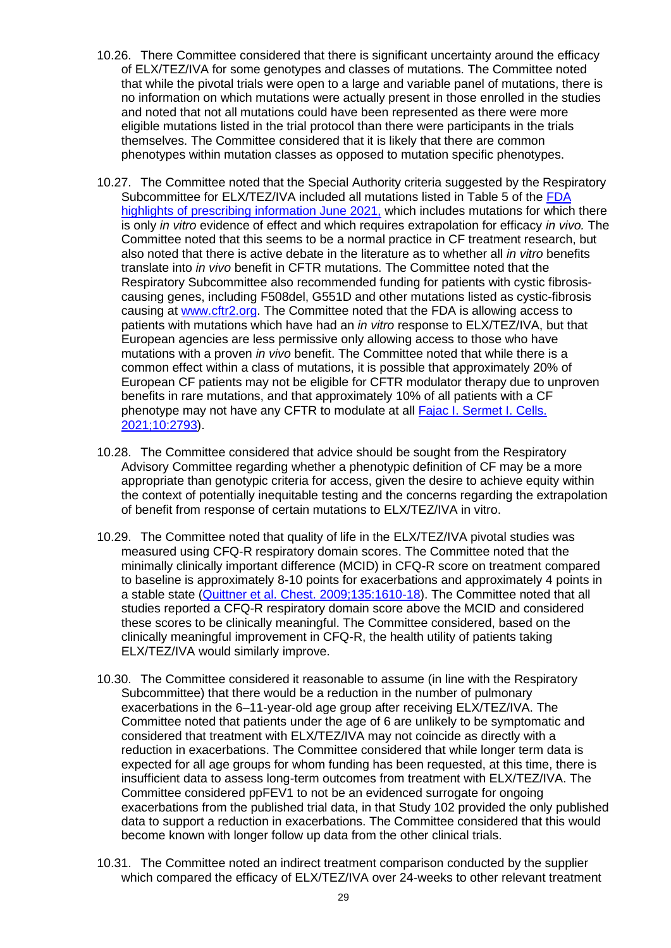- 10.26. There Committee considered that there is significant uncertainty around the efficacy of ELX/TEZ/IVA for some genotypes and classes of mutations. The Committee noted that while the pivotal trials were open to a large and variable panel of mutations, there is no information on which mutations were actually present in those enrolled in the studies and noted that not all mutations could have been represented as there were more eligible mutations listed in the trial protocol than there were participants in the trials themselves. The Committee considered that it is likely that there are common phenotypes within mutation classes as opposed to mutation specific phenotypes.
- 10.27. The Committee noted that the Special Authority criteria suggested by the Respiratory Subcommittee for ELX/TEZ/IVA included all mutations listed in Table 5 of the FDA [highlights of prescribing information June 2021,](https://www.accessdata.fda.gov/drugsatfda_docs/label/2021/212273s004lbl.pdf) which includes mutations for which there is only *in vitro* evidence of effect and which requires extrapolation for efficacy *in vivo.* The Committee noted that this seems to be a normal practice in CF treatment research, but also noted that there is active debate in the literature as to whether all *in vitro* benefits translate into *in vivo* benefit in CFTR mutations. The Committee noted that the Respiratory Subcommittee also recommended funding for patients with cystic fibrosiscausing genes, including F508del, G551D and other mutations listed as cystic-fibrosis causing at [www.cftr2.org.](http://www.cftr2.org/) The Committee noted that the FDA is allowing access to patients with mutations which have had an *in vitro* response to ELX/TEZ/IVA, but that European agencies are less permissive only allowing access to those who have mutations with a proven *in vivo* benefit. The Committee noted that while there is a common effect within a class of mutations, it is possible that approximately 20% of European CF patients may not be eligible for CFTR modulator therapy due to unproven benefits in rare mutations, and that approximately 10% of all patients with a CF phenotype may not have any CFTR to modulate at all Fajac I. Sermet I. Cells. [2021;10:2793\)](https://pubmed.ncbi.nlm.nih.gov/34685773/).
- 10.28. The Committee considered that advice should be sought from the Respiratory Advisory Committee regarding whether a phenotypic definition of CF may be a more appropriate than genotypic criteria for access, given the desire to achieve equity within the context of potentially inequitable testing and the concerns regarding the extrapolation of benefit from response of certain mutations to ELX/TEZ/IVA in vitro.
- 10.29. The Committee noted that quality of life in the ELX/TEZ/IVA pivotal studies was measured using CFQ-R respiratory domain scores. The Committee noted that the minimally clinically important difference (MCID) in CFQ-R score on treatment compared to baseline is approximately 8-10 points for exacerbations and approximately 4 points in a stable state [\(Quittner et al. Chest. 2009;135:1610-18\)](https://pubmed.ncbi.nlm.nih.gov/19447923/). The Committee noted that all studies reported a CFQ-R respiratory domain score above the MCID and considered these scores to be clinically meaningful. The Committee considered, based on the clinically meaningful improvement in CFQ-R, the health utility of patients taking ELX/TEZ/IVA would similarly improve.
- 10.30. The Committee considered it reasonable to assume (in line with the Respiratory Subcommittee) that there would be a reduction in the number of pulmonary exacerbations in the 6–11-year-old age group after receiving ELX/TEZ/IVA. The Committee noted that patients under the age of 6 are unlikely to be symptomatic and considered that treatment with ELX/TEZ/IVA may not coincide as directly with a reduction in exacerbations. The Committee considered that while longer term data is expected for all age groups for whom funding has been requested, at this time, there is insufficient data to assess long-term outcomes from treatment with ELX/TEZ/IVA. The Committee considered ppFEV1 to not be an evidenced surrogate for ongoing exacerbations from the published trial data, in that Study 102 provided the only published data to support a reduction in exacerbations. The Committee considered that this would become known with longer follow up data from the other clinical trials.
- 10.31. The Committee noted an indirect treatment comparison conducted by the supplier which compared the efficacy of ELX/TEZ/IVA over 24-weeks to other relevant treatment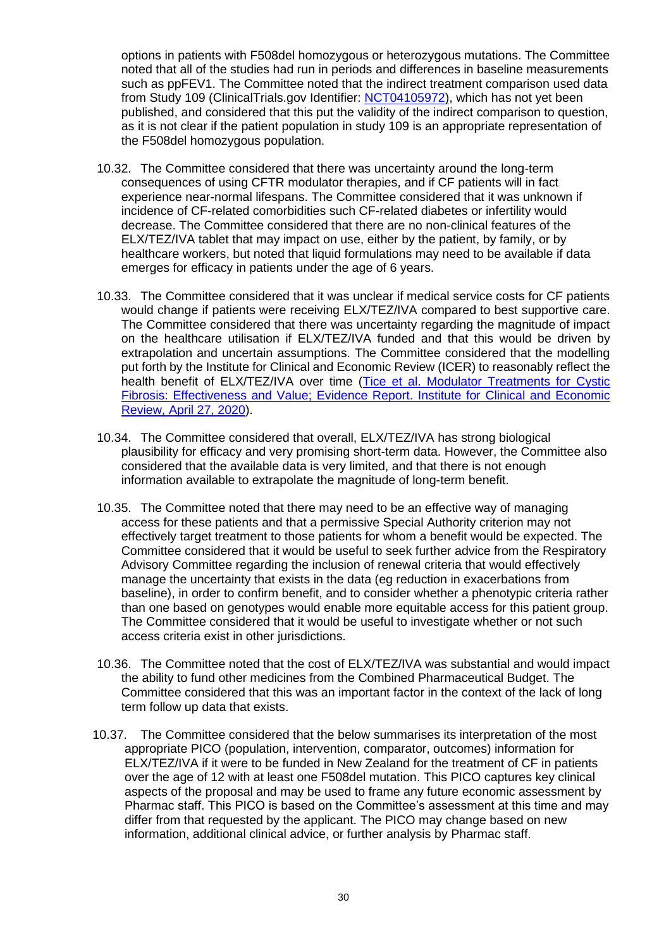options in patients with F508del homozygous or heterozygous mutations. The Committee noted that all of the studies had run in periods and differences in baseline measurements such as ppFEV1. The Committee noted that the indirect treatment comparison used data from Study 109 (ClinicalTrials.gov Identifier: [NCT04105972\)](https://clinicaltrials.gov/ct2/show/record/NCT04105972?term=NCT04105972&draw=2&rank=1), which has not yet been published, and considered that this put the validity of the indirect comparison to question, as it is not clear if the patient population in study 109 is an appropriate representation of the F508del homozygous population.

- 10.32. The Committee considered that there was uncertainty around the long-term consequences of using CFTR modulator therapies, and if CF patients will in fact experience near-normal lifespans. The Committee considered that it was unknown if incidence of CF-related comorbidities such CF-related diabetes or infertility would decrease. The Committee considered that there are no non-clinical features of the ELX/TEZ/IVA tablet that may impact on use, either by the patient, by family, or by healthcare workers, but noted that liquid formulations may need to be available if data emerges for efficacy in patients under the age of 6 years.
- 10.33. The Committee considered that it was unclear if medical service costs for CF patients would change if patients were receiving ELX/TEZ/IVA compared to best supportive care. The Committee considered that there was uncertainty regarding the magnitude of impact on the healthcare utilisation if ELX/TEZ/IVA funded and that this would be driven by extrapolation and uncertain assumptions. The Committee considered that the modelling put forth by the Institute for Clinical and Economic Review (ICER) to reasonably reflect the health benefit of ELX/TEZ/IVA over time [\(Tice et al. Modulator Treatments for Cystic](https://icer.org/wp-content/uploads/2020/08/ICER_CF_Evidence_Report_042720.pdf)  [Fibrosis: Effectiveness and Value; Evidence Report. Institute for Clinical and Economic](https://icer.org/wp-content/uploads/2020/08/ICER_CF_Evidence_Report_042720.pdf)  [Review, April 27, 2020\)](https://icer.org/wp-content/uploads/2020/08/ICER_CF_Evidence_Report_042720.pdf).
- 10.34. The Committee considered that overall, ELX/TEZ/IVA has strong biological plausibility for efficacy and very promising short-term data. However, the Committee also considered that the available data is very limited, and that there is not enough information available to extrapolate the magnitude of long-term benefit.
- 10.35. The Committee noted that there may need to be an effective way of managing access for these patients and that a permissive Special Authority criterion may not effectively target treatment to those patients for whom a benefit would be expected. The Committee considered that it would be useful to seek further advice from the Respiratory Advisory Committee regarding the inclusion of renewal criteria that would effectively manage the uncertainty that exists in the data (eg reduction in exacerbations from baseline), in order to confirm benefit, and to consider whether a phenotypic criteria rather than one based on genotypes would enable more equitable access for this patient group. The Committee considered that it would be useful to investigate whether or not such access criteria exist in other jurisdictions.
- 10.36. The Committee noted that the cost of ELX/TEZ/IVA was substantial and would impact the ability to fund other medicines from the Combined Pharmaceutical Budget. The Committee considered that this was an important factor in the context of the lack of long term follow up data that exists.
- 10.37. The Committee considered that the below summarises its interpretation of the most appropriate PICO (population, intervention, comparator, outcomes) information for ELX/TEZ/IVA if it were to be funded in New Zealand for the treatment of CF in patients over the age of 12 with at least one F508del mutation. This PICO captures key clinical aspects of the proposal and may be used to frame any future economic assessment by Pharmac staff. This PICO is based on the Committee's assessment at this time and may differ from that requested by the applicant. The PICO may change based on new information, additional clinical advice, or further analysis by Pharmac staff.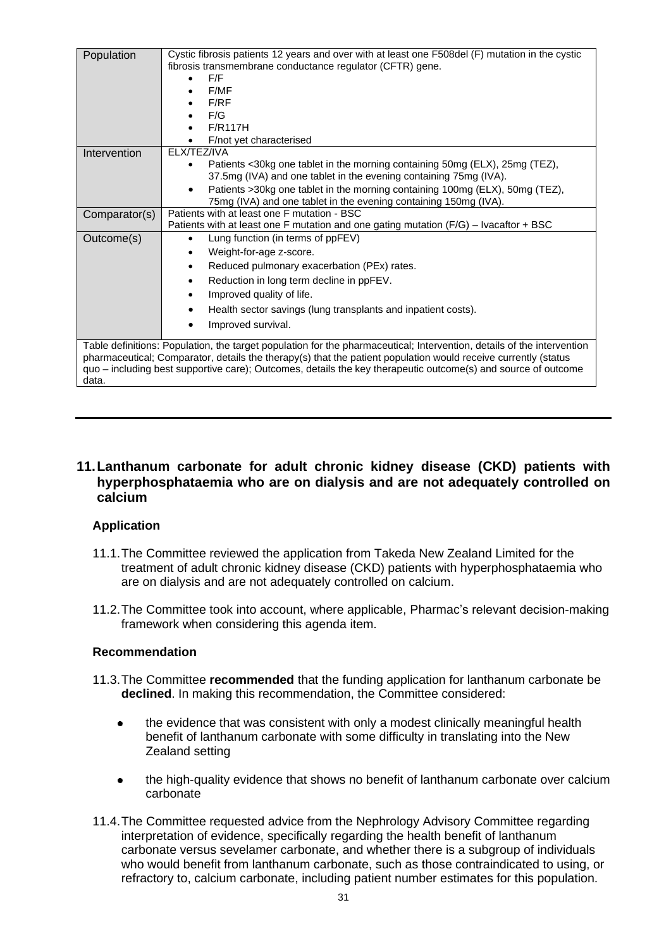| Population                                                                                                             | Cystic fibrosis patients 12 years and over with at least one F508del (F) mutation in the cystic                                                               |  |  |  |  |
|------------------------------------------------------------------------------------------------------------------------|---------------------------------------------------------------------------------------------------------------------------------------------------------------|--|--|--|--|
|                                                                                                                        | fibrosis transmembrane conductance regulator (CFTR) gene.                                                                                                     |  |  |  |  |
|                                                                                                                        | F/F                                                                                                                                                           |  |  |  |  |
|                                                                                                                        | F/MF                                                                                                                                                          |  |  |  |  |
|                                                                                                                        | F/RF                                                                                                                                                          |  |  |  |  |
|                                                                                                                        | F/G                                                                                                                                                           |  |  |  |  |
|                                                                                                                        | <b>F/R117H</b>                                                                                                                                                |  |  |  |  |
|                                                                                                                        | F/not yet characterised                                                                                                                                       |  |  |  |  |
| Intervention                                                                                                           | ELX/TEZ/IVA                                                                                                                                                   |  |  |  |  |
|                                                                                                                        | Patients <30kg one tablet in the morning containing 50mg (ELX), 25mg (TEZ),<br>$\bullet$<br>37.5mg (IVA) and one tablet in the evening containing 75mg (IVA). |  |  |  |  |
|                                                                                                                        | Patients >30kg one tablet in the morning containing 100mg (ELX), 50mg (TEZ),<br>$\bullet$<br>75mg (IVA) and one tablet in the evening containing 150mg (IVA). |  |  |  |  |
| Comparator(s)                                                                                                          | Patients with at least one F mutation - BSC                                                                                                                   |  |  |  |  |
|                                                                                                                        | Patients with at least one F mutation and one gating mutation $(F/G)$ – Ivacaftor + BSC                                                                       |  |  |  |  |
| Outcome(s)                                                                                                             | Lung function (in terms of ppFEV)<br>$\bullet$                                                                                                                |  |  |  |  |
|                                                                                                                        | Weight-for-age z-score.                                                                                                                                       |  |  |  |  |
|                                                                                                                        | Reduced pulmonary exacerbation (PEx) rates.                                                                                                                   |  |  |  |  |
|                                                                                                                        | Reduction in long term decline in ppFEV.<br>$\bullet$                                                                                                         |  |  |  |  |
|                                                                                                                        | Improved quality of life.                                                                                                                                     |  |  |  |  |
|                                                                                                                        | Health sector savings (lung transplants and inpatient costs).                                                                                                 |  |  |  |  |
|                                                                                                                        | Improved survival.<br>$\bullet$                                                                                                                               |  |  |  |  |
| Table definitions: Population, the target population for the pharmaceutical; Intervention, details of the intervention |                                                                                                                                                               |  |  |  |  |
| pharmaceutical; Comparator, details the therapy(s) that the patient population would receive currently (status         |                                                                                                                                                               |  |  |  |  |
| quo - including best supportive care); Outcomes, details the key therapeutic outcome(s) and source of outcome          |                                                                                                                                                               |  |  |  |  |
| data.                                                                                                                  |                                                                                                                                                               |  |  |  |  |

# <span id="page-30-0"></span>**11.Lanthanum carbonate for adult chronic kidney disease (CKD) patients with hyperphosphataemia who are on dialysis and are not adequately controlled on calcium**

# <span id="page-30-1"></span>**Application**

- 11.1.The Committee reviewed the application from Takeda New Zealand Limited for the treatment of adult chronic kidney disease (CKD) patients with hyperphosphataemia who are on dialysis and are not adequately controlled on calcium.
- 11.2.The Committee took into account, where applicable, Pharmac's relevant decision-making framework when considering this agenda item.

# <span id="page-30-2"></span>**Recommendation**

- 11.3.The Committee **recommended** that the funding application for lanthanum carbonate be **declined**. In making this recommendation, the Committee considered:
	- the evidence that was consistent with only a modest clinically meaningful health  $\bullet$ benefit of lanthanum carbonate with some difficulty in translating into the New Zealand setting
	- the high-quality evidence that shows no benefit of lanthanum carbonate over calcium carbonate
- 11.4.The Committee requested advice from the Nephrology Advisory Committee regarding interpretation of evidence, specifically regarding the health benefit of lanthanum carbonate versus sevelamer carbonate, and whether there is a subgroup of individuals who would benefit from lanthanum carbonate, such as those contraindicated to using, or refractory to, calcium carbonate, including patient number estimates for this population.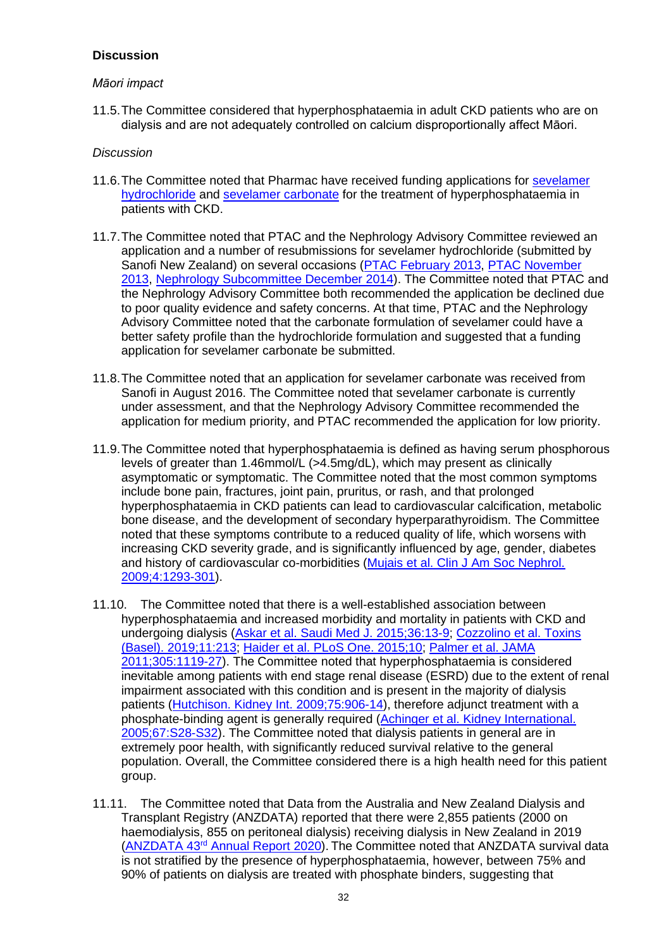# <span id="page-31-0"></span>**Discussion**

# *Māori impact*

11.5.The Committee considered that hyperphosphataemia in adult CKD patients who are on dialysis and are not adequately controlled on calcium disproportionally affect Māori.

- 11.6.The Committee noted that Pharmac have received funding applications for [sevelamer](https://connect.pharmac.govt.nz/apptracker/s/application-public/a102P000008ptpJ/p000029)  [hydrochloride](https://connect.pharmac.govt.nz/apptracker/s/application-public/a102P000008ptpJ/p000029) and [sevelamer carbonate](https://connect.pharmac.govt.nz/apptracker/s/application-public/a102P000008ptrP/p000099) for the treatment of hyperphosphataemia in patients with CKD.
- 11.7.The Committee noted that PTAC and the Nephrology Advisory Committee reviewed an application and a number of resubmissions for sevelamer hydrochloride (submitted by Sanofi New Zealand) on several occasions [\(PTAC February 2013,](https://www.pharmac.govt.nz/assets/ptac-minutes-2013-02.pdf) PTAC November [2013,](https://www.pharmac.govt.nz/assets/ptac-minutes-2013-11.pdf) [Nephrology Subcommittee December 2014\)](https://www.pharmac.govt.nz/assets/ptac-nephrology-subcommittee-minutes-2014-12.pdf). The Committee noted that PTAC and the Nephrology Advisory Committee both recommended the application be declined due to poor quality evidence and safety concerns. At that time, PTAC and the Nephrology Advisory Committee noted that the carbonate formulation of sevelamer could have a better safety profile than the hydrochloride formulation and suggested that a funding application for sevelamer carbonate be submitted.
- 11.8.The Committee noted that an application for sevelamer carbonate was received from Sanofi in August 2016. The Committee noted that sevelamer carbonate is currently under assessment, and that the Nephrology Advisory Committee recommended the application for medium priority, and PTAC recommended the application for low priority.
- 11.9.The Committee noted that hyperphosphataemia is defined as having serum phosphorous levels of greater than 1.46mmol/L (>4.5mg/dL), which may present as clinically asymptomatic or symptomatic. The Committee noted that the most common symptoms include bone pain, fractures, joint pain, pruritus, or rash, and that prolonged hyperphosphataemia in CKD patients can lead to cardiovascular calcification, metabolic bone disease, and the development of secondary hyperparathyroidism. The Committee noted that these symptoms contribute to a reduced quality of life, which worsens with increasing CKD severity grade, and is significantly influenced by age, gender, diabetes and history of cardiovascular co-morbidities [\(Mujais et al. Clin J Am Soc Nephrol.](https://cjasn.asnjournals.org/content/4/8/1293.long)  [2009;4:1293-301\)](https://cjasn.asnjournals.org/content/4/8/1293.long).
- 11.10. The Committee noted that there is a well-established association between hyperphosphataemia and increased morbidity and mortality in patients with CKD and undergoing dialysis [\(Askar et al. Saudi Med J. 2015;36:13-9;](https://www.ncbi.nlm.nih.gov/pmc/articles/PMC4362181/) Cozzolino [et al. Toxins](https://www.mdpi.com/2072-6651/11/4/213)  (Basel). [2019;11:213;](https://www.mdpi.com/2072-6651/11/4/213) [Haider et al. PLoS One. 2015;10;](https://www.ncbi.nlm.nih.gov/pmc/articles/PMC4529074/) [Palmer et al. JAMA](https://www.ncbi.nlm.nih.gov/pubmed?term=21406649)  [2011;305:1119-27\)](https://www.ncbi.nlm.nih.gov/pubmed?term=21406649). The Committee noted that hyperphosphataemia is considered inevitable among patients with end stage renal disease (ESRD) due to the extent of renal impairment associated with this condition and is present in the majority of dialysis patients [\(Hutchison. Kidney Int. 2009;75:906-14\)](https://www.sciencedirect.com/science/article/pii/S0085253815538246?via%3Dihub), therefore adjunct treatment with a phosphate-binding agent is generally required (Achinger et al. Kidney International. [2005;67:S28-S32\)](https://www.sciencedirect.com/science/article/pii/S0085253815508041?via%3Dihub). The Committee noted that dialysis patients in general are in extremely poor health, with significantly reduced survival relative to the general population. Overall, the Committee considered there is a high health need for this patient group.
- 11.11. The Committee noted that Data from the Australia and New Zealand Dialysis and Transplant Registry (ANZDATA) reported that there were 2,855 patients (2000 on haemodialysis, 855 on peritoneal dialysis) receiving dialysis in New Zealand in 2019 (ANZDATA 43rd [Annual Report 2020\)](https://www.anzdata.org.au/report/anzdata-43rd-annual-report-2020-data-to-2019/). The Committee noted that ANZDATA survival data is not stratified by the presence of hyperphosphataemia, however, between 75% and 90% of patients on dialysis are treated with phosphate binders, suggesting that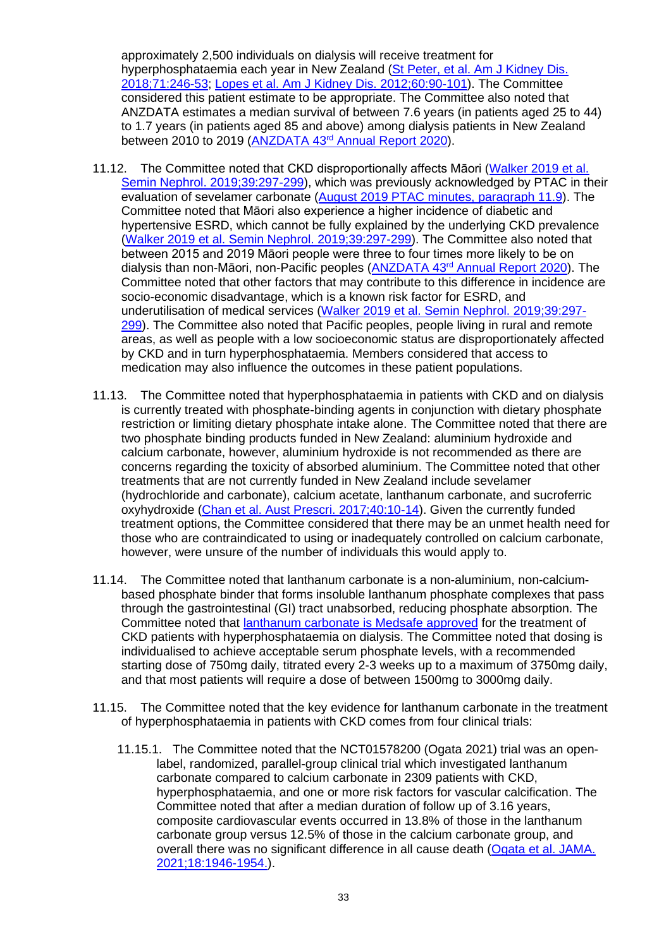approximately 2,500 individuals on dialysis will receive treatment for hyperphosphataemia each year in New Zealand [\(St Peter, et al. Am J Kidney Dis.](https://www.ncbi.nlm.nih.gov/pubmed/29195858)  [2018;71:246-53;](https://www.ncbi.nlm.nih.gov/pubmed/29195858) [Lopes et al. Am J Kidney Dis. 2012;60:90-101\)](https://www.ncbi.nlm.nih.gov/pmc/articles/PMC3901075/). The Committee considered this patient estimate to be appropriate. The Committee also noted that ANZDATA estimates a median survival of between 7.6 years (in patients aged 25 to 44) to 1.7 years (in patients aged 85 and above) among dialysis patients in New Zealand between 2010 to 2019 (ANZDATA 43<sup>rd</sup> [Annual Report 2020\)](https://www.anzdata.org.au/report/anzdata-43rd-annual-report-2020-data-to-2019/).

- 11.12. The Committee noted that CKD disproportionally affects Māori [\(Walker 2019 et al.](https://linkinghub.elsevier.com/retrieve/pii/S0270-9295(19)30017-8)  [Semin Nephrol. 2019;39:297-299\)](https://linkinghub.elsevier.com/retrieve/pii/S0270-9295(19)30017-8), which was previously acknowledged by PTAC in their evaluation of sevelamer carbonate [\(August 2019 PTAC minutes, paragraph 11.9\)](https://connect.pharmac.govt.nz/apptracker/s/application-public/a102P000008ptrP/p000099). The Committee noted that Māori also experience a higher incidence of diabetic and hypertensive ESRD, which cannot be fully explained by the underlying CKD prevalence [\(Walker 2019 et al. Semin Nephrol. 2019;39:297-299\)](https://linkinghub.elsevier.com/retrieve/pii/S0270-9295(19)30017-8). The Committee also noted that between 2015 and 2019 Māori people were three to four times more likely to be on dialysis than non-Māori, non-Pacific peoples [\(ANZDATA 43](https://www.anzdata.org.au/report/anzdata-43rd-annual-report-2020-data-to-2019/)rd Annual Report 2020). The Committee noted that other factors that may contribute to this difference in incidence are socio-economic disadvantage, which is a known risk factor for ESRD, and underutilisation of medical services [\(Walker 2019 et al. Semin Nephrol. 2019;39:297-](https://linkinghub.elsevier.com/retrieve/pii/S0270-9295(19)30017-8) [299\)](https://linkinghub.elsevier.com/retrieve/pii/S0270-9295(19)30017-8). The Committee also noted that Pacific peoples, people living in rural and remote areas, as well as people with a low socioeconomic status are disproportionately affected by CKD and in turn hyperphosphataemia. Members considered that access to medication may also influence the outcomes in these patient populations.
- 11.13. The Committee noted that hyperphosphataemia in patients with CKD and on dialysis is currently treated with phosphate-binding agents in conjunction with dietary phosphate restriction or limiting dietary phosphate intake alone. The Committee noted that there are two phosphate binding products funded in New Zealand: aluminium hydroxide and calcium carbonate, however, aluminium hydroxide is not recommended as there are concerns regarding the toxicity of absorbed aluminium. The Committee noted that other treatments that are not currently funded in New Zealand include sevelamer (hydrochloride and carbonate), calcium acetate, lanthanum carbonate, and sucroferric oxyhydroxide [\(Chan et al. Aust Prescri. 2017;40:10-14\)](https://www.ncbi.nlm.nih.gov/pmc/articles/PMC5313253/). Given the currently funded treatment options, the Committee considered that there may be an unmet health need for those who are contraindicated to using or inadequately controlled on calcium carbonate, however, were unsure of the number of individuals this would apply to.
- 11.14. The Committee noted that lanthanum carbonate is a non-aluminium, non-calciumbased phosphate binder that forms insoluble lanthanum phosphate complexes that pass through the gastrointestinal (GI) tract unabsorbed, reducing phosphate absorption. The Committee noted that [lanthanum carbonate is Medsafe approved](https://www.medsafe.govt.nz/regulatory/ProductDetail.asp?ID=20148) for the treatment of CKD patients with hyperphosphataemia on dialysis. The Committee noted that dosing is individualised to achieve acceptable serum phosphate levels, with a recommended starting dose of 750mg daily, titrated every 2-3 weeks up to a maximum of 3750mg daily, and that most patients will require a dose of between 1500mg to 3000mg daily.
- 11.15. The Committee noted that the key evidence for lanthanum carbonate in the treatment of hyperphosphataemia in patients with CKD comes from four clinical trials:
	- 11.15.1. The Committee noted that the NCT01578200 (Ogata 2021) trial was an openlabel, randomized, parallel-group clinical trial which investigated lanthanum carbonate compared to calcium carbonate in 2309 patients with CKD, hyperphosphataemia, and one or more risk factors for vascular calcification. The Committee noted that after a median duration of follow up of 3.16 years, composite cardiovascular events occurred in 13.8% of those in the lanthanum carbonate group versus 12.5% of those in the calcium carbonate group, and overall there was no significant difference in all cause death [\(Ogata et al. JAMA.](https://pubmed.ncbi.nlm.nih.gov/34003226/)  [2021;18:1946-1954.\)](https://pubmed.ncbi.nlm.nih.gov/34003226/).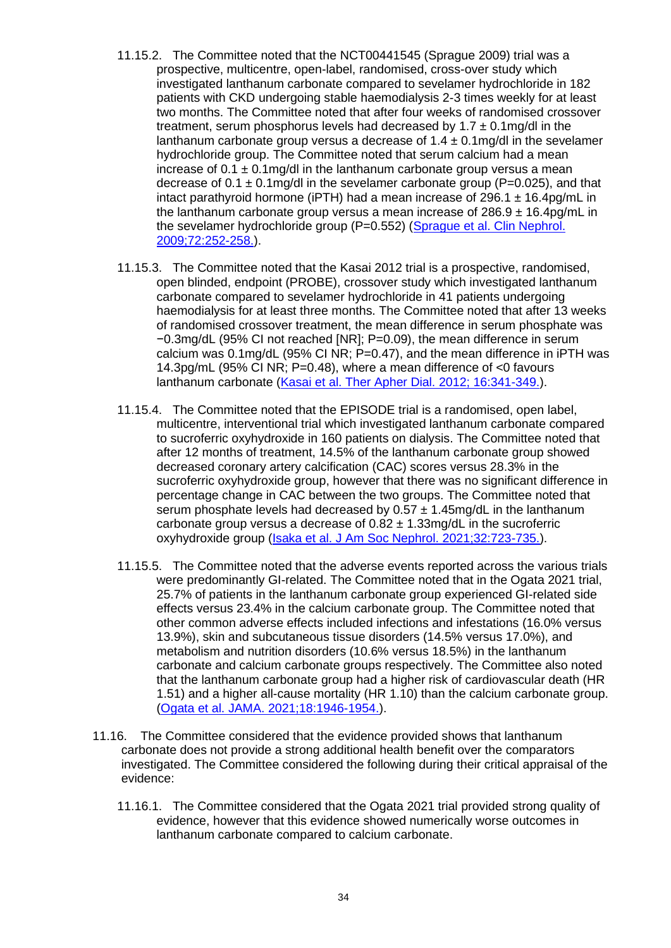- 11.15.2. The Committee noted that the NCT00441545 (Sprague 2009) trial was a prospective, multicentre, open-label, randomised, cross-over study which investigated lanthanum carbonate compared to sevelamer hydrochloride in 182 patients with CKD undergoing stable haemodialysis 2-3 times weekly for at least two months. The Committee noted that after four weeks of randomised crossover treatment, serum phosphorus levels had decreased by  $1.7 \pm 0.1$  mg/dl in the lanthanum carbonate group versus a decrease of  $1.4 \pm 0.1$ mg/dl in the sevelamer hydrochloride group. The Committee noted that serum calcium had a mean increase of  $0.1 \pm 0.1$  mg/dl in the lanthanum carbonate group versus a mean decrease of  $0.1 \pm 0.1$  mg/dl in the sevelamer carbonate group (P=0.025), and that intact parathyroid hormone (iPTH) had a mean increase of 296.1  $\pm$  16.4pg/mL in the lanthanum carbonate group versus a mean increase of  $286.9 \pm 16.4$  pg/mL in the sevelamer hydrochloride group (P=0.552) [\(Sprague et al. Clin Nephrol.](https://pubmed.ncbi.nlm.nih.gov/19825330/)  [2009;72:252-258.\)](https://pubmed.ncbi.nlm.nih.gov/19825330/).
- 11.15.3. The Committee noted that the Kasai 2012 trial is a prospective, randomised, open blinded, endpoint (PROBE), crossover study which investigated lanthanum carbonate compared to sevelamer hydrochloride in 41 patients undergoing haemodialysis for at least three months. The Committee noted that after 13 weeks of randomised crossover treatment, the mean difference in serum phosphate was −0.3mg/dL (95% CI not reached [NR]; P=0.09), the mean difference in serum calcium was 0.1mg/dL (95% CI NR; P=0.47), and the mean difference in iPTH was 14.3pg/mL (95% CI NR; P=0.48), where a mean difference of <0 favours lanthanum carbonate [\(Kasai et al. Ther Apher Dial. 2012; 16:341-349.\)](https://pubmed.ncbi.nlm.nih.gov/22817122/).
- 11.15.4. The Committee noted that the EPISODE trial is a randomised, open label, multicentre, interventional trial which investigated lanthanum carbonate compared to sucroferric oxyhydroxide in 160 patients on dialysis. The Committee noted that after 12 months of treatment, 14.5% of the lanthanum carbonate group showed decreased coronary artery calcification (CAC) scores versus 28.3% in the sucroferric oxyhydroxide group, however that there was no significant difference in percentage change in CAC between the two groups. The Committee noted that serum phosphate levels had decreased by  $0.57 \pm 1.45$  mg/dL in the lanthanum carbonate group versus a decrease of  $0.82 \pm 1.33$  mg/dL in the sucroferric oxyhydroxide group [\(Isaka et al. J Am Soc Nephrol. 2021;32:723-735.\)](https://pubmed.ncbi.nlm.nih.gov/33547218/).
- 11.15.5. The Committee noted that the adverse events reported across the various trials were predominantly GI-related. The Committee noted that in the Ogata 2021 trial, 25.7% of patients in the lanthanum carbonate group experienced GI-related side effects versus 23.4% in the calcium carbonate group. The Committee noted that other common adverse effects included infections and infestations (16.0% versus 13.9%), skin and subcutaneous tissue disorders (14.5% versus 17.0%), and metabolism and nutrition disorders (10.6% versus 18.5%) in the lanthanum carbonate and calcium carbonate groups respectively. The Committee also noted that the lanthanum carbonate group had a higher risk of cardiovascular death (HR 1.51) and a higher all-cause mortality (HR 1.10) than the calcium carbonate group. [\(Ogata et al. JAMA. 2021;18:1946-1954.\)](https://pubmed.ncbi.nlm.nih.gov/34003226/).
- 11.16. The Committee considered that the evidence provided shows that lanthanum carbonate does not provide a strong additional health benefit over the comparators investigated. The Committee considered the following during their critical appraisal of the evidence:
	- 11.16.1. The Committee considered that the Ogata 2021 trial provided strong quality of evidence, however that this evidence showed numerically worse outcomes in lanthanum carbonate compared to calcium carbonate.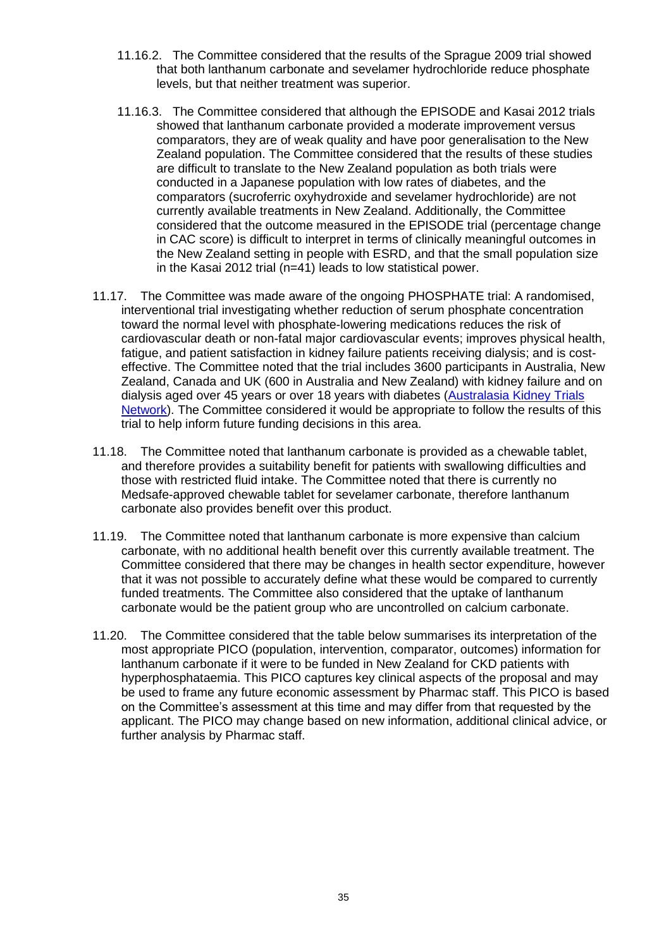- 11.16.2. The Committee considered that the results of the Sprague 2009 trial showed that both lanthanum carbonate and sevelamer hydrochloride reduce phosphate levels, but that neither treatment was superior.
- 11.16.3. The Committee considered that although the EPISODE and Kasai 2012 trials showed that lanthanum carbonate provided a moderate improvement versus comparators, they are of weak quality and have poor generalisation to the New Zealand population. The Committee considered that the results of these studies are difficult to translate to the New Zealand population as both trials were conducted in a Japanese population with low rates of diabetes, and the comparators (sucroferric oxyhydroxide and sevelamer hydrochloride) are not currently available treatments in New Zealand. Additionally, the Committee considered that the outcome measured in the EPISODE trial (percentage change in CAC score) is difficult to interpret in terms of clinically meaningful outcomes in the New Zealand setting in people with ESRD, and that the small population size in the Kasai 2012 trial (n=41) leads to low statistical power.
- 11.17. The Committee was made aware of the ongoing PHOSPHATE trial: A randomised, interventional trial investigating whether reduction of serum phosphate concentration toward the normal level with phosphate-lowering medications reduces the risk of cardiovascular death or non-fatal major cardiovascular events; improves physical health, fatigue, and patient satisfaction in kidney failure patients receiving dialysis; and is costeffective. The Committee noted that the trial includes 3600 participants in Australia, New Zealand, Canada and UK (600 in Australia and New Zealand) with kidney failure and on dialysis aged over 45 years or over 18 years with diabetes [\(Australasia Kidney Trials](https://aktn.org.au/phosphate-trial/)  [Network\)](https://aktn.org.au/phosphate-trial/). The Committee considered it would be appropriate to follow the results of this trial to help inform future funding decisions in this area.
- 11.18. The Committee noted that lanthanum carbonate is provided as a chewable tablet, and therefore provides a suitability benefit for patients with swallowing difficulties and those with restricted fluid intake. The Committee noted that there is currently no Medsafe-approved chewable tablet for sevelamer carbonate, therefore lanthanum carbonate also provides benefit over this product.
- 11.19. The Committee noted that lanthanum carbonate is more expensive than calcium carbonate, with no additional health benefit over this currently available treatment. The Committee considered that there may be changes in health sector expenditure, however that it was not possible to accurately define what these would be compared to currently funded treatments. The Committee also considered that the uptake of lanthanum carbonate would be the patient group who are uncontrolled on calcium carbonate.
- 11.20. The Committee considered that the table below summarises its interpretation of the most appropriate PICO (population, intervention, comparator, outcomes) information for lanthanum carbonate if it were to be funded in New Zealand for CKD patients with hyperphosphataemia. This PICO captures key clinical aspects of the proposal and may be used to frame any future economic assessment by Pharmac staff. This PICO is based on the Committee's assessment at this time and may differ from that requested by the applicant. The PICO may change based on new information, additional clinical advice, or further analysis by Pharmac staff.